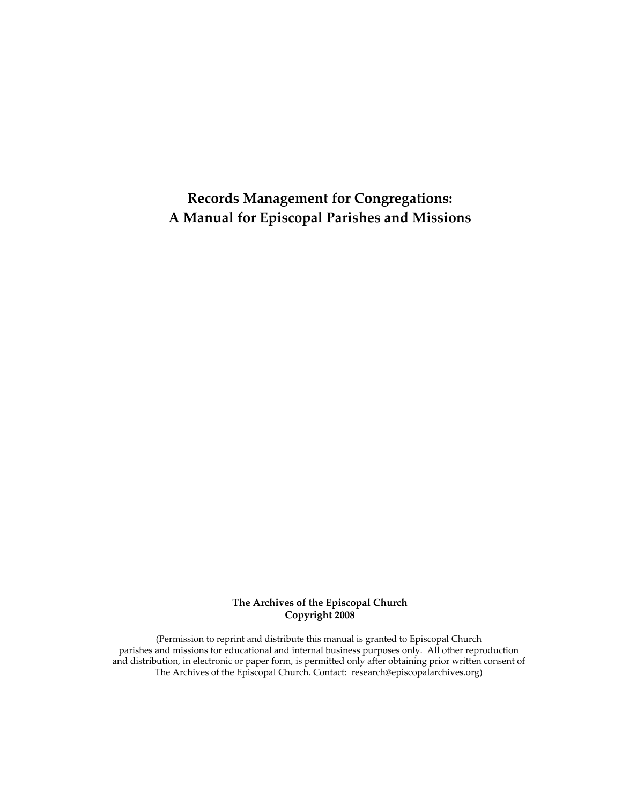**Records Management for Congregations: A Manual for Episcopal Parishes and Missions**

> **The Archives of the Episcopal Church Copyright 2008**

(Permission to reprint and distribute this manual is granted to Episcopal Church parishes and missions for educational and internal business purposes only. All other reproduction and distribution, in electronic or paper form, is permitted only after obtaining prior written consent of The Archives of the Episcopal Church. Contact: research@episcopalarchives.org)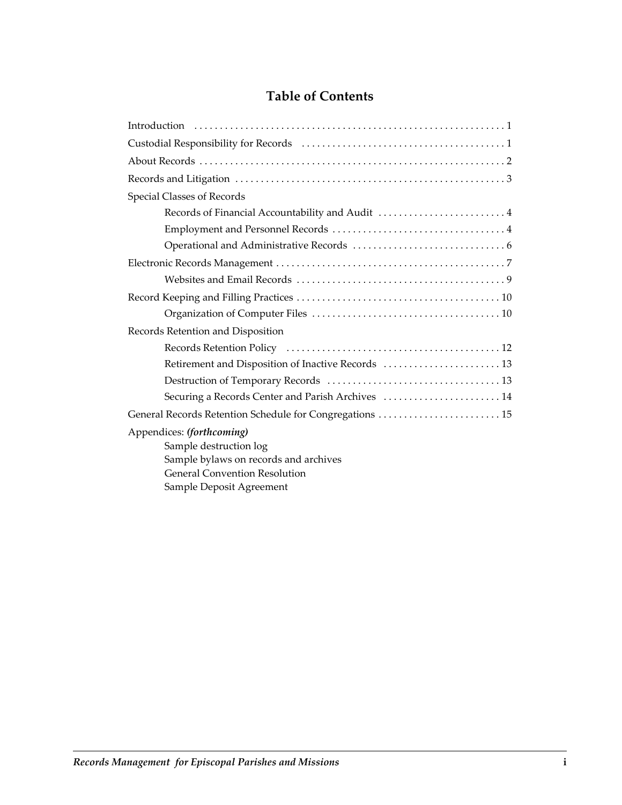# **Table of Contents**

| Special Classes of Records                               |
|----------------------------------------------------------|
| Records of Financial Accountability and Audit 4          |
|                                                          |
|                                                          |
|                                                          |
|                                                          |
|                                                          |
|                                                          |
| Records Retention and Disposition                        |
|                                                          |
| Retirement and Disposition of Inactive Records  13       |
|                                                          |
| Securing a Records Center and Parish Archives  14        |
| General Records Retention Schedule for Congregations  15 |
| Appendices: (forthcoming)                                |
| Sample destruction log                                   |
| Sample bylaws on records and archives                    |
| <b>General Convention Resolution</b>                     |
| Sample Deposit Agreement                                 |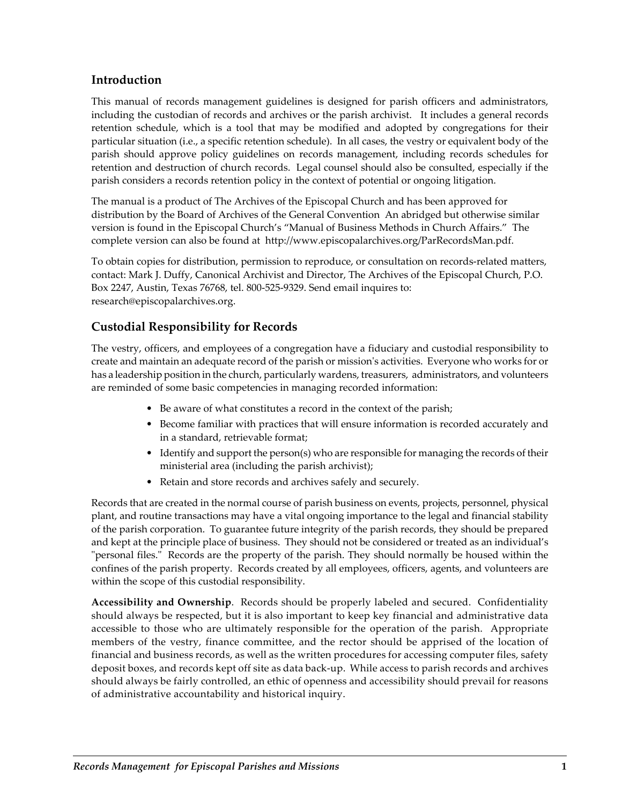### **Introduction**

This manual of records management guidelines is designed for parish officers and administrators, including the custodian of records and archives or the parish archivist. It includes a general records retention schedule, which is a tool that may be modified and adopted by congregations for their particular situation (i.e., a specific retention schedule). In all cases, the vestry or equivalent body of the parish should approve policy guidelines on records management, including records schedules for retention and destruction of church records. Legal counsel should also be consulted, especially if the parish considers a records retention policy in the context of potential or ongoing litigation.

The manual is a product of The Archives of the Episcopal Church and has been approved for distribution by the Board of Archives of the General Convention An abridged but otherwise similar version is found in the Episcopal Church's "Manual of Business Methods in Church Affairs." The complete version can also be found at http://www.episcopalarchives.org/ParRecordsMan.pdf.

To obtain copies for distribution, permission to reproduce, or consultation on records‐related matters, contact: Mark J. Duffy, Canonical Archivist and Director, The Archives of the Episcopal Church, P.O. Box 2247, Austin, Texas 76768, tel. 800‐525‐9329. Send email inquires to: research@episcopalarchives.org.

# **Custodial Responsibility for Records**

The vestry, officers, and employees of a congregation have a fiduciary and custodial responsibility to create and maintain an adequate record of the parish or missionʹs activities. Everyone who works for or has a leadership position in the church, particularly wardens, treasurers, administrators, and volunteers are reminded of some basic competencies in managing recorded information:

- Be aware of what constitutes a record in the context of the parish;
- Become familiar with practices that will ensure information is recorded accurately and in a standard, retrievable format;
- Identify and support the person(s) who are responsible for managing the records of their ministerial area (including the parish archivist);
- Retain and store records and archives safely and securely.

Records that are created in the normal course of parish business on events, projects, personnel, physical plant, and routine transactions may have a vital ongoing importance to the legal and financial stability of the parish corporation. To guarantee future integrity of the parish records, they should be prepared and kept at the principle place of business. They should not be considered or treated as an individual's "personal files." Records are the property of the parish. They should normally be housed within the confines of the parish property. Records created by all employees, officers, agents, and volunteers are within the scope of this custodial responsibility.

**Accessibility and Ownership**. Records should be properly labeled and secured. Confidentiality should always be respected, but it is also important to keep key financial and administrative data accessible to those who are ultimately responsible for the operation of the parish. Appropriate members of the vestry, finance committee, and the rector should be apprised of the location of financial and business records, as well as the written procedures for accessing computer files, safety deposit boxes, and records kept off site as data back‐up. While access to parish records and archives should always be fairly controlled, an ethic of openness and accessibility should prevail for reasons of administrative accountability and historical inquiry.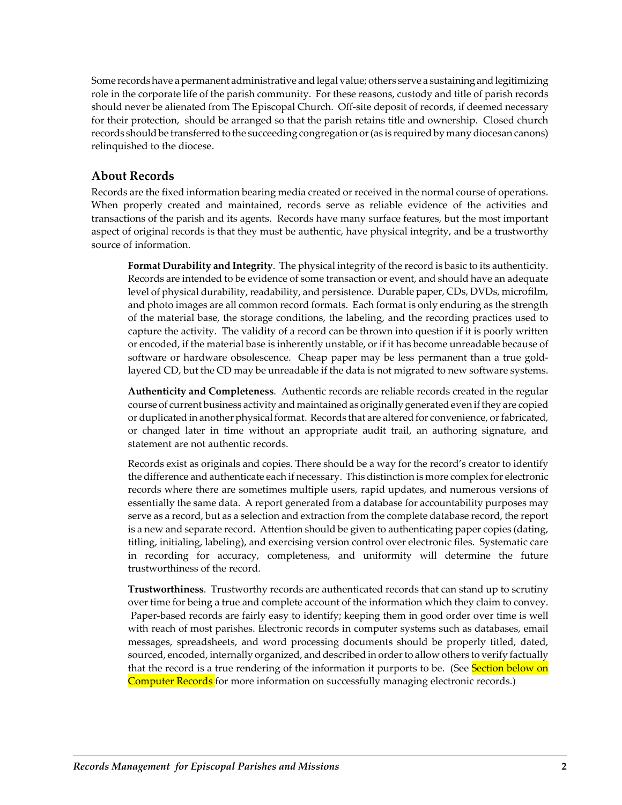Some records have a permanent administrative and legal value; others serve a sustaining and legitimizing role in the corporate life of the parish community. For these reasons, custody and title of parish records should never be alienated from The Episcopal Church. Off-site deposit of records, if deemed necessary for their protection, should be arranged so that the parish retains title and ownership. Closed church records should be transferred to the succeeding congregation or (as is required by many diocesan canons) relinquished to the diocese.

### **About Records**

Records are the fixed information bearing media created or received in the normal course of operations. When properly created and maintained, records serve as reliable evidence of the activities and transactions of the parish and its agents. Records have many surface features, but the most important aspect of original records is that they must be authentic, have physical integrity, and be a trustworthy source of information.

**Format Durability and Integrity**. The physical integrity of the record is basic to its authenticity. Records are intended to be evidence of some transaction or event, and should have an adequate level of physical durability, readability, and persistence. Durable paper, CDs, DVDs, microfilm, and photo images are all common record formats. Each format is only enduring as the strength of the material base, the storage conditions, the labeling, and the recording practices used to capture the activity. The validity of a record can be thrown into question if it is poorly written or encoded, if the material base is inherently unstable, or if it has become unreadable because of software or hardware obsolescence. Cheap paper may be less permanent than a true goldlayered CD, but the CD may be unreadable if the data is not migrated to new software systems.

**Authenticity and Completeness**. Authentic records are reliable records created in the regular course of current business activity and maintained as originally generated even if they are copied or duplicated in another physical format. Records that are altered for convenience, or fabricated, or changed later in time without an appropriate audit trail, an authoring signature, and statement are not authentic records.

Records exist as originals and copies. There should be a way for the record's creator to identify the difference and authenticate each if necessary. This distinction is more complex for electronic records where there are sometimes multiple users, rapid updates, and numerous versions of essentially the same data. A report generated from a database for accountability purposes may serve as a record, but as a selection and extraction from the complete database record, the report is a new and separate record. Attention should be given to authenticating paper copies (dating, titling, initialing, labeling), and exercising version control over electronic files. Systematic care in recording for accuracy, completeness, and uniformity will determine the future trustworthiness of the record.

**Trustworthiness**. Trustworthy records are authenticated records that can stand up to scrutiny over time for being a true and complete account of the information which they claim to convey. Paper-based records are fairly easy to identify; keeping them in good order over time is well with reach of most parishes. Electronic records in computer systems such as databases, email messages, spreadsheets, and word processing documents should be properly titled, dated, sourced, encoded, internally organized, and described in order to allow others to verify factually that the record is a true rendering of the information it purports to be. (See Section below on Computer Records for more information on successfully managing electronic records.)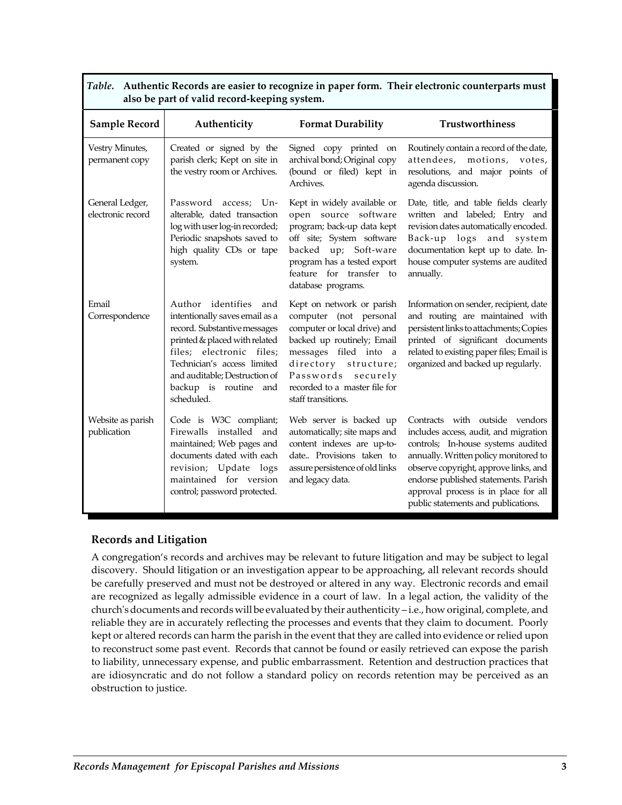| also be part of valia record neeping system. |                                                                                                                                                                                                                                                             |                                                                                                                                                                                                                                                 |                                                                                                                                                                                                                                                                                                                        |  |  |
|----------------------------------------------|-------------------------------------------------------------------------------------------------------------------------------------------------------------------------------------------------------------------------------------------------------------|-------------------------------------------------------------------------------------------------------------------------------------------------------------------------------------------------------------------------------------------------|------------------------------------------------------------------------------------------------------------------------------------------------------------------------------------------------------------------------------------------------------------------------------------------------------------------------|--|--|
| <b>Sample Record</b>                         | Authenticity                                                                                                                                                                                                                                                | <b>Format Durability</b>                                                                                                                                                                                                                        | Trustworthiness                                                                                                                                                                                                                                                                                                        |  |  |
| Vestry Minutes,<br>permanent copy            | Created or signed by the<br>parish clerk; Kept on site in<br>the vestry room or Archives.                                                                                                                                                                   | Signed copy printed on<br>archival bond; Original copy<br>(bound or filed) kept in<br>Archives.                                                                                                                                                 | Routinely contain a record of the date,<br>attendees, motions, votes,<br>resolutions, and major points of<br>agenda discussion.                                                                                                                                                                                        |  |  |
| General Ledger,<br>electronic record         | Password access; Un-<br>alterable, dated transaction<br>log with user log-in recorded;<br>Periodic snapshots saved to<br>high quality CDs or tape<br>system.                                                                                                | Kept in widely available or<br>open source software<br>program; back-up data kept<br>off site; System software<br>backed up; Soft-ware<br>program has a tested export<br>feature for transfer to<br>database programs.                          | Date, title, and table fields clearly<br>written and labeled; Entry and<br>revision dates automatically encoded.<br>Back-up logs and system<br>documentation kept up to date. In-<br>house computer systems are audited<br>annually.                                                                                   |  |  |
| Email<br>Correspondence                      | Author identifies and<br>intentionally saves email as a<br>record. Substantive messages<br>printed & placed with related<br>files; electronic files;<br>Technician's access limited<br>and auditable; Destruction of<br>backup is routine and<br>scheduled. | Kept on network or parish<br>computer (not personal<br>computer or local drive) and<br>backed up routinely; Email<br>messages filed into a<br>directory structure;<br>Passwords securely<br>recorded to a master file for<br>staff transitions. | Information on sender, recipient, date<br>and routing are maintained with<br>persistent links to attachments; Copies<br>printed of significant documents<br>related to existing paper files; Email is<br>organized and backed up regularly.                                                                            |  |  |
| Website as parish<br>publication             | Code is W3C compliant;<br>Firewalls installed and<br>maintained; Web pages and<br>documents dated with each<br>revision; Update logs<br>maintained for version<br>control; password protected.                                                              | Web server is backed up<br>automatically; site maps and<br>content indexes are up-to-<br>date Provisions taken to<br>assure persistence of old links<br>and legacy data.                                                                        | Contracts with outside vendors<br>includes access, audit, and migration<br>controls; In-house systems audited<br>annually. Written policy monitored to<br>observe copyright, approve links, and<br>endorse published statements. Parish<br>approval process is in place for all<br>public statements and publications. |  |  |

### *Table.* **Authentic Records are easier to recognize in paper form. Their electronic counterparts must also be part of valid record‐keeping system.**

## **Records and Litigation**

A congregation's records and archives may be relevant to future litigation and may be subject to legal discovery. Should litigation or an investigation appear to be approaching, all relevant records should be carefully preserved and must not be destroyed or altered in any way. Electronic records and email are recognized as legally admissible evidence in a court of law. In a legal action, the validity of the church's documents and records will be evaluated by their authenticity – i.e., how original, complete, and reliable they are in accurately reflecting the processes and events that they claim to document. Poorly kept or altered records can harm the parish in the event that they are called into evidence or relied upon to reconstruct some past event. Records that cannot be found or easily retrieved can expose the parish to liability, unnecessary expense, and public embarrassment. Retention and destruction practices that are idiosyncratic and do not follow a standard policy on records retention may be perceived as an obstruction to justice.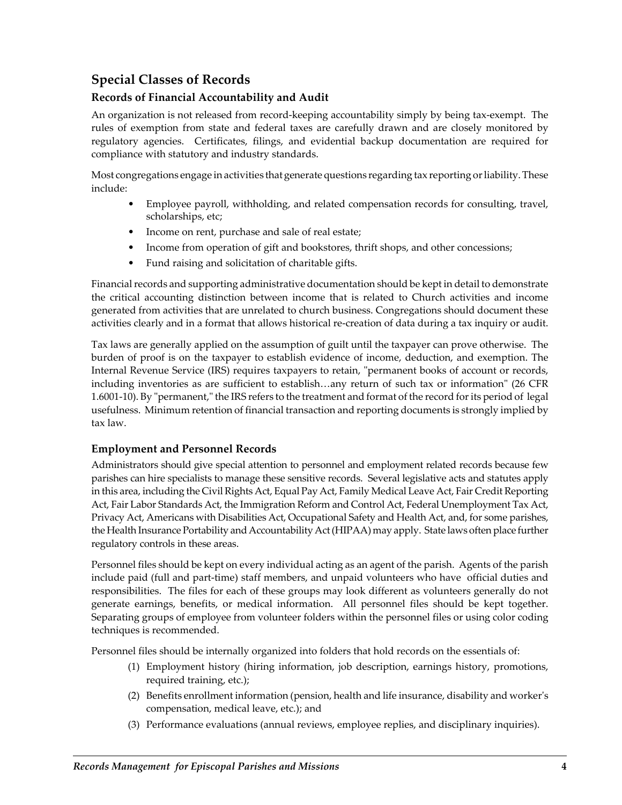# **Special Classes of Records**

## **Records of Financial Accountability and Audit**

An organization is not released from record-keeping accountability simply by being tax-exempt. The rules of exemption from state and federal taxes are carefully drawn and are closely monitored by regulatory agencies. Certificates, filings, and evidential backup documentation are required for compliance with statutory and industry standards.

Most congregations engage in activities that generate questions regarding tax reporting or liability. These include:

- Employee payroll, withholding, and related compensation records for consulting, travel, scholarships, etc;
- Income on rent, purchase and sale of real estate;
- Income from operation of gift and bookstores, thrift shops, and other concessions;
- Fund raising and solicitation of charitable gifts.

Financial records and supporting administrative documentation should be kept in detail to demonstrate the critical accounting distinction between income that is related to Church activities and income generated from activities that are unrelated to church business. Congregations should document these activities clearly and in a format that allows historical re‐creation of data during a tax inquiry or audit.

Tax laws are generally applied on the assumption of guilt until the taxpayer can prove otherwise. The burden of proof is on the taxpayer to establish evidence of income, deduction, and exemption. The Internal Revenue Service (IRS) requires taxpayers to retain, "permanent books of account or records, including inventories as are sufficient to establish...any return of such tax or information" (26 CFR 1.6001-10). By "permanent," the IRS refers to the treatment and format of the record for its period of legal usefulness. Minimum retention of financial transaction and reporting documents is strongly implied by tax law.

### **Employment and Personnel Records**

Administrators should give special attention to personnel and employment related records because few parishes can hire specialists to manage these sensitive records. Several legislative acts and statutes apply in this area, including the Civil Rights Act, Equal Pay Act, Family Medical Leave Act, Fair Credit Reporting Act, Fair Labor Standards Act, the Immigration Reform and Control Act, Federal Unemployment Tax Act, Privacy Act, Americans with Disabilities Act, Occupational Safety and Health Act, and, for some parishes, the Health Insurance Portability and Accountability Act (HIPAA) may apply. State laws often place further regulatory controls in these areas.

Personnel files should be kept on every individual acting as an agent of the parish. Agents of the parish include paid (full and part‐time) staff members, and unpaid volunteers who have official duties and responsibilities. The files for each of these groups may look different as volunteers generally do not generate earnings, benefits, or medical information. All personnel files should be kept together. Separating groups of employee from volunteer folders within the personnel files or using color coding techniques is recommended.

Personnel files should be internally organized into folders that hold records on the essentials of:

- (1) Employment history (hiring information, job description, earnings history, promotions, required training, etc.);
- (2) Benefits enrollment information (pension, health and life insurance, disability and workerʹs compensation, medical leave, etc.); and
- (3) Performance evaluations (annual reviews, employee replies, and disciplinary inquiries).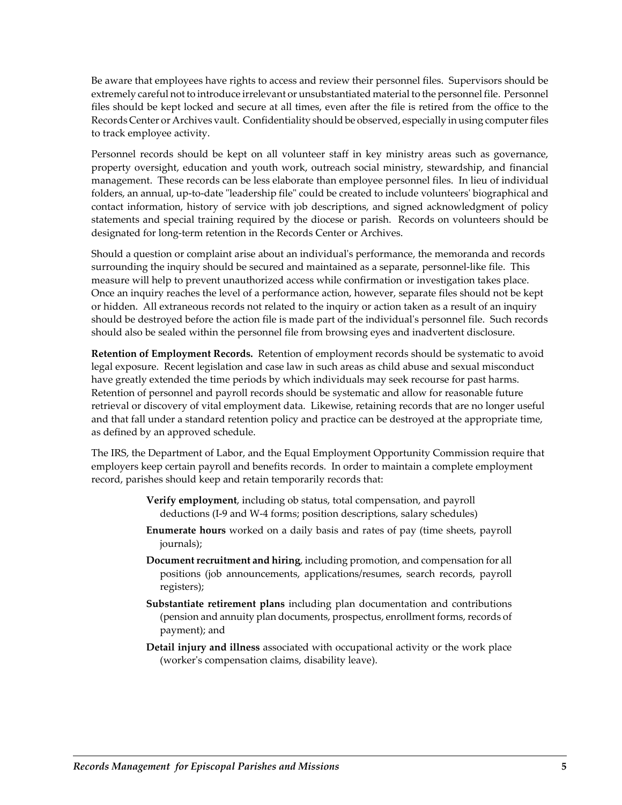Be aware that employees have rights to access and review their personnel files. Supervisors should be extremely careful not to introduce irrelevant or unsubstantiated material to the personnel file. Personnel files should be kept locked and secure at all times, even after the file is retired from the office to the Records Center or Archives vault. Confidentiality should be observed, especially in using computerfiles to track employee activity.

Personnel records should be kept on all volunteer staff in key ministry areas such as governance, property oversight, education and youth work, outreach social ministry, stewardship, and financial management. These records can be less elaborate than employee personnel files. In lieu of individual folders, an annual, up-to-date "leadership file" could be created to include volunteers' biographical and contact information, history of service with job descriptions, and signed acknowledgment of policy statements and special training required by the diocese or parish. Records on volunteers should be designated for long‐term retention in the Records Center or Archives.

Should a question or complaint arise about an individualʹs performance, the memoranda and records surrounding the inquiry should be secured and maintained as a separate, personnel-like file. This measure will help to prevent unauthorized access while confirmation or investigation takes place. Once an inquiry reaches the level of a performance action, however, separate files should not be kept or hidden. All extraneous records not related to the inquiry or action taken as a result of an inquiry should be destroyed before the action file is made part of the individual's personnel file. Such records should also be sealed within the personnel file from browsing eyes and inadvertent disclosure.

**Retention of Employment Records.** Retention of employment records should be systematic to avoid legal exposure. Recent legislation and case law in such areas as child abuse and sexual misconduct have greatly extended the time periods by which individuals may seek recourse for past harms. Retention of personnel and payroll records should be systematic and allow for reasonable future retrieval or discovery of vital employment data. Likewise, retaining records that are no longer useful and that fall under a standard retention policy and practice can be destroyed at the appropriate time, as defined by an approved schedule.

The IRS, the Department of Labor, and the Equal Employment Opportunity Commission require that employers keep certain payroll and benefits records. In order to maintain a complete employment record, parishes should keep and retain temporarily records that:

- **Verify employment**, including ob status, total compensation, and payroll deductions (I‐9 and W‐4 forms; position descriptions, salary schedules)
- **Enumerate hours** worked on a daily basis and rates of pay (time sheets, payroll journals);
- **Document recruitment and hiring**, including promotion, and compensation for all positions (job announcements, applications/resumes, search records, payroll registers);
- **Substantiate retirement plans** including plan documentation and contributions (pension and annuity plan documents, prospectus, enrollment forms, records of payment); and
- **Detail injury and illness** associated with occupational activity or the work place (workerʹs compensation claims, disability leave).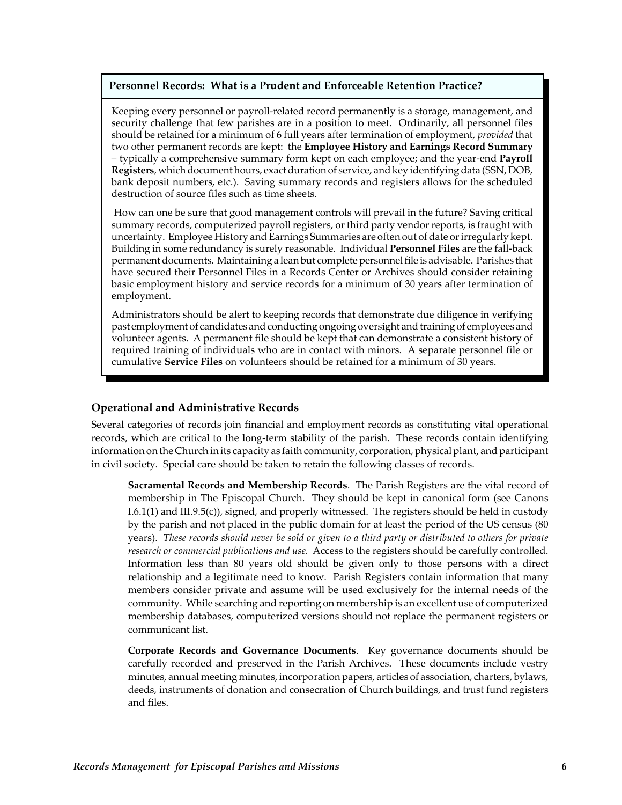#### **Personnel Records: What is a Prudent and Enforceable Retention Practice?**

Keeping every personnel or payroll-related record permanently is a storage, management, and security challenge that few parishes are in a position to meet. Ordinarily, all personnel files should be retained for a minimum of 6 full years after termination of employment, *provided* that two other permanent records are kept: the **Employee History and Earnings Record Summary** – typically a comprehensive summary form kept on each employee; and the year‐end **Payroll** Registers, which document hours, exact duration of service, and key identifying data (SSN, DOB, bank deposit numbers, etc.). Saving summary records and registers allows for the scheduled destruction of source files such as time sheets.

How can one be sure that good management controls will prevail in the future? Saving critical summary records, computerized payroll registers, or third party vendor reports, is fraught with uncertainty. Employee History and Earnings Summaries are often out of date or irregularly kept. Building in some redundancy is surely reasonable. Individual **Personnel Files** are the fall‐back permanent documents. Maintaining a lean but complete personnel file is advisable. Parishes that have secured their Personnel Files in a Records Center or Archives should consider retaining basic employment history and service records for a minimum of 30 years after termination of employment.

Administrators should be alert to keeping records that demonstrate due diligence in verifying past employment of candidates and conducting ongoing oversight and training of employees and volunteer agents. A permanent file should be kept that can demonstrate a consistent history of required training of individuals who are in contact with minors. A separate personnel file or cumulative **Service Files** on volunteers should be retained for a minimum of 30 years.

### **Operational and Administrative Records**

Several categories of records join financial and employment records as constituting vital operational records, which are critical to the long-term stability of the parish. These records contain identifying information on the Church in its capacity as faith community, corporation, physical plant, and participant in civil society. Special care should be taken to retain the following classes of records.

**Sacramental Records and Membership Records**. The Parish Registers are the vital record of membership in The Episcopal Church. They should be kept in canonical form (see Canons I.6.1(1) and III.9.5(c)), signed, and properly witnessed. The registers should be held in custody by the parish and not placed in the public domain for at least the period of the US census (80 years). These records should never be sold or given to a third party or distributed to others for private *research or commercial publications and use.* Access to the registers should be carefully controlled. Information less than 80 years old should be given only to those persons with a direct relationship and a legitimate need to know. Parish Registers contain information that many members consider private and assume will be used exclusively for the internal needs of the community. While searching and reporting on membership is an excellent use of computerized membership databases, computerized versions should not replace the permanent registers or communicant list.

**Corporate Records and Governance Documents**. Key governance documents should be carefully recorded and preserved in the Parish Archives. These documents include vestry minutes, annual meeting minutes, incorporation papers, articles of association, charters, bylaws, deeds, instruments of donation and consecration of Church buildings, and trust fund registers and files.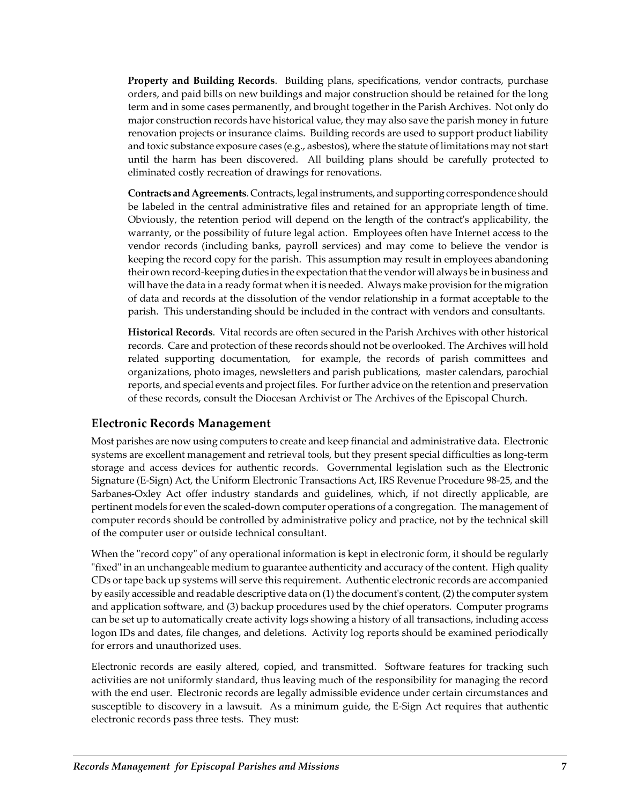**Property and Building Records**. Building plans, specifications, vendor contracts, purchase orders, and paid bills on new buildings and major construction should be retained for the long term and in some cases permanently, and brought together in the Parish Archives. Not only do major construction records have historical value, they may also save the parish money in future renovation projects or insurance claims. Building records are used to support product liability and toxic substance exposure cases (e.g., asbestos), where the statute of limitations may not start until the harm has been discovered. All building plans should be carefully protected to eliminated costly recreation of drawings for renovations.

**Contracts andAgreements**. Contracts, legalinstruments, andsupporting correspondence should be labeled in the central administrative files and retained for an appropriate length of time. Obviously, the retention period will depend on the length of the contractʹs applicability, the warranty, or the possibility of future legal action. Employees often have Internet access to the vendor records (including banks, payroll services) and may come to believe the vendor is keeping the record copy for the parish. This assumption may result in employees abandoning their own record-keeping duties in the expectation that the vendor will always be in business and will have the data in a ready format when it is needed. Always make provision forthe migration of data and records at the dissolution of the vendor relationship in a format acceptable to the parish. This understanding should be included in the contract with vendors and consultants.

**Historical Records**. Vital records are often secured in the Parish Archives with other historical records. Care and protection of these records should not be overlooked. The Archives will hold related supporting documentation, for example, the records of parish committees and organizations, photo images, newsletters and parish publications, master calendars, parochial reports, and special events and project files. For further advice on the retention and preservation of these records, consult the Diocesan Archivist or The Archives of the Episcopal Church.

## **Electronic Records Management**

Most parishes are now using computers to create and keep financial and administrative data. Electronic systems are excellent management and retrieval tools, but they present special difficulties as long-term storage and access devices for authentic records. Governmental legislation such as the Electronic Signature (E‐Sign) Act, the Uniform Electronic Transactions Act, IRS Revenue Procedure 98‐25, and the Sarbanes‐Oxley Act offer industry standards and guidelines, which, if not directly applicable, are pertinent models for even the scaled‐down computer operations of a congregation. The management of computer records should be controlled by administrative policy and practice, not by the technical skill of the computer user or outside technical consultant.

When the "record copy" of any operational information is kept in electronic form, it should be regularly ʺfixedʺ in an unchangeable medium to guarantee authenticity and accuracy of the content. High quality CDs ortape back up systems will serve this requirement. Authentic electronic records are accompanied by easily accessible and readable descriptive data on (1) the documentʹs content, (2) the computer system and application software, and (3) backup procedures used by the chief operators. Computer programs can be set up to automatically create activity logs showing a history of all transactions, including access logon IDs and dates, file changes, and deletions. Activity log reports should be examined periodically for errors and unauthorized uses.

Electronic records are easily altered, copied, and transmitted. Software features for tracking such activities are not uniformly standard, thus leaving much of the responsibility for managing the record with the end user. Electronic records are legally admissible evidence under certain circumstances and susceptible to discovery in a lawsuit. As a minimum guide, the E‐Sign Act requires that authentic electronic records pass three tests. They must: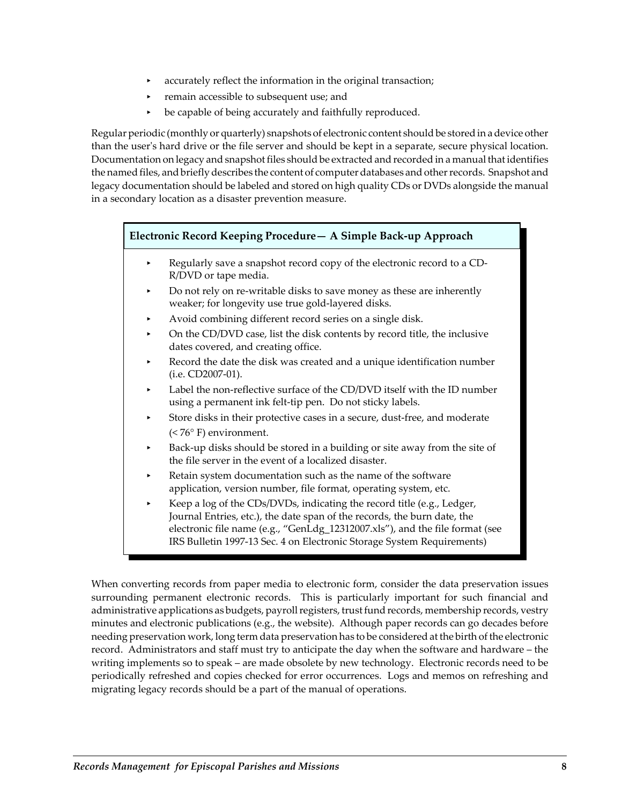- accurately reflect the information in the original transaction;
- remain accessible to subsequent use; and
- be capable of being accurately and faithfully reproduced.

Regular periodic (monthly or quarterly) snapshots of electronic content should be stored in a device other than the userʹs hard drive or the file server and should be kept in a separate, secure physical location. Documentation on legacy and snapshot files should be extracted and recorded in a manual that identifies the named files, and briefly describes the content of computer databases and other records. Snapshot and legacy documentation should be labeled and stored on high quality CDs or DVDs alongside the manual in a secondary location as a disaster prevention measure.

#### **Electronic Record Keeping Procedure— A Simple Back‐up Approach**

- Regularly save a snapshot record copy of the electronic record to a CD-R/DVD or tape media.
- Do not rely on re-writable disks to save money as these are inherently weaker; for longevity use true gold‐layered disks.
- < Avoid combining different record series on a single disk.
- < On the CD/DVD case, list the disk contents by record title, the inclusive dates covered, and creating office.
- Record the date the disk was created and a unique identification number (i.e. CD2007‐01).
- Label the non-reflective surface of the CD/DVD itself with the ID number using a permanent ink felt‐tip pen. Do not sticky labels.
- Store disks in their protective cases in a secure, dust-free, and moderate (< 76° F) environment.
- Back-up disks should be stored in a building or site away from the site of the file server in the event of a localized disaster.
- Retain system documentation such as the name of the software application, version number, file format, operating system, etc.
- Keep a log of the CDs/DVDs, indicating the record title (e.g., Ledger, Journal Entries, etc.), the date span of the records, the burn date, the electronic file name (e.g., "GenLdg\_12312007.xls"), and the file format (see IRS Bulletin 1997‐13 Sec. 4 on Electronic Storage System Requirements)

When converting records from paper media to electronic form, consider the data preservation issues surrounding permanent electronic records. This is particularly important for such financial and administrative applications as budgets, payroll registers, trust fund records, membership records, vestry minutes and electronic publications (e.g., the website). Although paper records can go decades before needing preservation work, long term data preservation has to be considered at the birth of the electronic record. Administrators and staff must try to anticipate the day when the software and hardware – the writing implements so to speak – are made obsolete by new technology. Electronic records need to be periodically refreshed and copies checked for error occurrences. Logs and memos on refreshing and migrating legacy records should be a part of the manual of operations.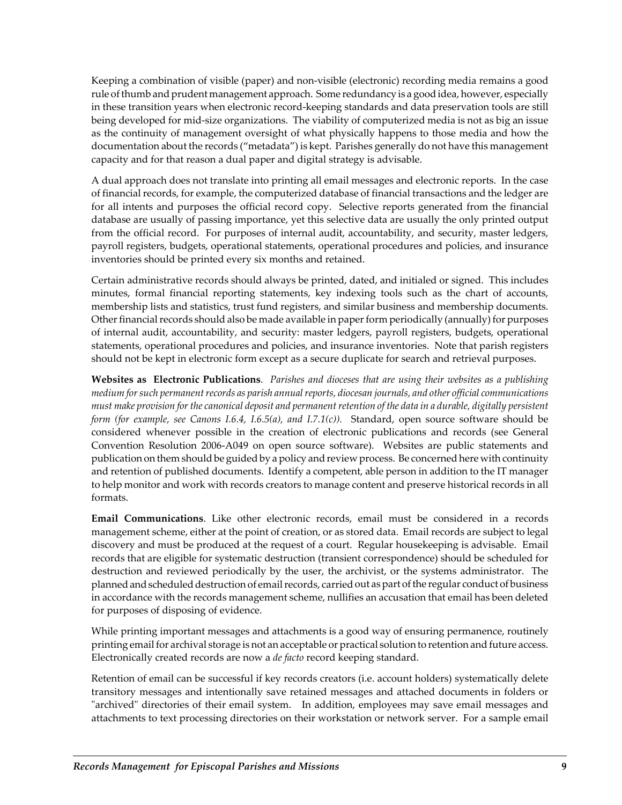Keeping a combination of visible (paper) and non‐visible (electronic) recording media remains a good rule of thumb and prudent management approach. Some redundancy is a good idea, however, especially in these transition years when electronic record‐keeping standards and data preservation tools are still being developed for mid‐size organizations. The viability of computerized media is not as big an issue as the continuity of management oversight of what physically happens to those media and how the documentation about the records ("metadata") is kept. Parishes generally do not have this management capacity and for that reason a dual paper and digital strategy is advisable.

A dual approach does not translate into printing all email messages and electronic reports. In the case of financial records, for example, the computerized database of financial transactions and the ledger are for all intents and purposes the official record copy. Selective reports generated from the financial database are usually of passing importance, yet this selective data are usually the only printed output from the official record. For purposes of internal audit, accountability, and security, master ledgers, payroll registers, budgets, operational statements, operational procedures and policies, and insurance inventories should be printed every six months and retained.

Certain administrative records should always be printed, dated, and initialed or signed. This includes minutes, formal financial reporting statements, key indexing tools such as the chart of accounts, membership lists and statistics, trust fund registers, and similar business and membership documents. Other financial records should also be made available in paper form periodically (annually) for purposes of internal audit, accountability, and security: master ledgers, payroll registers, budgets, operational statements, operational procedures and policies, and insurance inventories. Note that parish registers should not be kept in electronic form except as a secure duplicate for search and retrieval purposes.

Websites as Electronic Publications. Parishes and dioceses that are using their websites as a publishing *medium forsuch permanentrecords as parish annualreports, diocesan journals, and other official communications* must make provision for the canonical deposit and permanent retention of the data in a durable, digitally persistent *form (for example, see Canons I.6.4, I.6.5(a), and I.7.1(c)).*  Standard, open source software should be considered whenever possible in the creation of electronic publications and records (see General Convention Resolution 2006‐A049 on open source software). Websites are public statements and publication on them should be guided by a policy and review process. Be concerned here with continuity and retention of published documents. Identify a competent, able person in addition to the IT manager to help monitor and work with records creators to manage content and preserve historical records in all formats.

**Email Communications**. Like other electronic records, email must be considered in a records management scheme, either at the point of creation, or as stored data. Email records are subject to legal discovery and must be produced at the request of a court. Regular housekeeping is advisable. Email records that are eligible for systematic destruction (transient correspondence) should be scheduled for destruction and reviewed periodically by the user, the archivist, or the systems administrator. The planned and scheduled destruction of email records, carried out as part of the regular conduct of business in accordance with the records management scheme, nullifies an accusation that email has been deleted for purposes of disposing of evidence.

While printing important messages and attachments is a good way of ensuring permanence, routinely printing email for archival storage is not an acceptable or practical solution to retention and future access. Electronically created records are now a *de facto* record keeping standard.

Retention of email can be successful if key records creators (i.e. account holders) systematically delete transitory messages and intentionally save retained messages and attached documents in folders or "archived" directories of their email system. In addition, employees may save email messages and attachments to text processing directories on their workstation or network server. For a sample email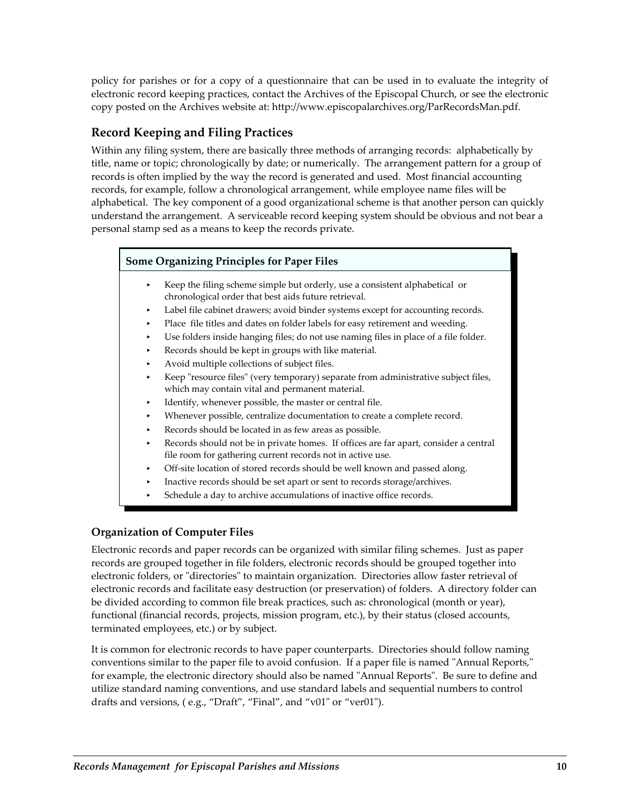policy for parishes or for a copy of a questionnaire that can be used in to evaluate the integrity of electronic record keeping practices, contact the Archives of the Episcopal Church, or see the electronic copy posted on the Archives website at: http://www.episcopalarchives.org/ParRecordsMan.pdf.

# **Record Keeping and Filing Practices**

Within any filing system, there are basically three methods of arranging records: alphabetically by title, name or topic; chronologically by date; or numerically. The arrangement pattern for a group of records is often implied by the way the record is generated and used. Most financial accounting records, for example, follow a chronological arrangement, while employee name files will be alphabetical. The key component of a good organizational scheme is that another person can quickly understand the arrangement. A serviceable record keeping system should be obvious and not bear a personal stamp sed as a means to keep the records private.

### **Some Organizing Principles for Paper Files**

- Keep the filing scheme simple but orderly, use a consistent alphabetical or chronological order that best aids future retrieval.
- Label file cabinet drawers; avoid binder systems except for accounting records.
- Place file titles and dates on folder labels for easy retirement and weeding.
- Use folders inside hanging files; do not use naming files in place of a file folder.
- < Records should be kept in groups with like material.
- < Avoid multiple collections of subject files.
- Keep "resource files" (very temporary) separate from administrative subject files, which may contain vital and permanent material.
- Identify, whenever possible, the master or central file.
- Whenever possible, centralize documentation to create a complete record.
- < Records should be located in as few areas as possible.
- Records should not be in private homes. If offices are far apart, consider a central file room for gathering current records not in active use.
- Off-site location of stored records should be well known and passed along.
- < Inactive records should be set apart or sent to records storage/archives.
- Schedule a day to archive accumulations of inactive office records.

## **Organization of Computer Files**

Electronic records and paper records can be organized with similar filing schemes. Just as paper records are grouped together in file folders, electronic records should be grouped together into electronic folders, or "directories" to maintain organization. Directories allow faster retrieval of electronic records and facilitate easy destruction (or preservation) of folders. A directory folder can be divided according to common file break practices, such as: chronological (month or year), functional (financial records, projects, mission program, etc.), by their status (closed accounts, terminated employees, etc.) or by subject.

It is common for electronic records to have paper counterparts. Directories should follow naming conventions similar to the paper file to avoid confusion. If a paper file is named "Annual Reports," for example, the electronic directory should also be named "Annual Reports". Be sure to define and utilize standard naming conventions, and use standard labels and sequential numbers to control drafts and versions, (e.g., "Draft", "Final", and "v01" or "ver01").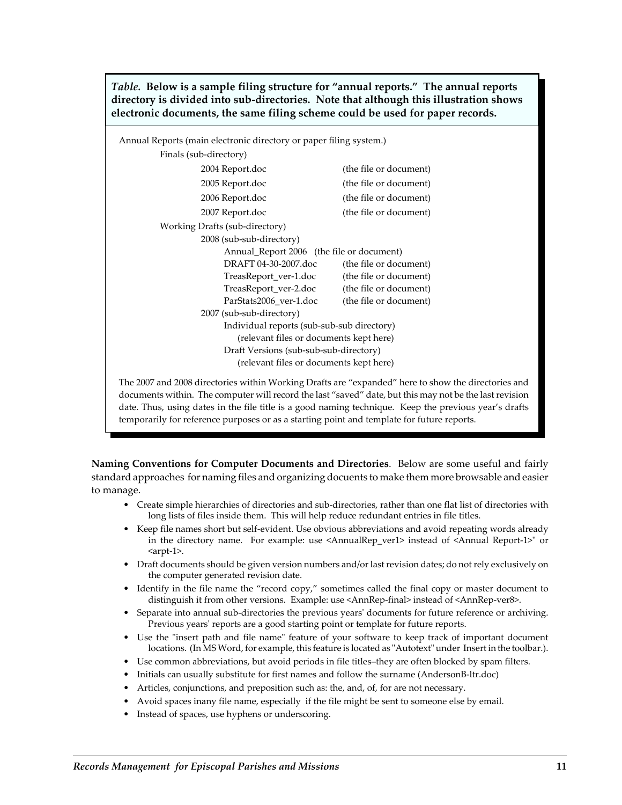*Table.* **Below is a sample filing structure for "annual reports." The annual reports directory is divided into sub‐directories. Note that although this illustration shows electronic documents, the same filing scheme could be used for paper records.**

| Annual Reports (main electronic directory or paper filing system.) |                                            |                        |  |  |  |
|--------------------------------------------------------------------|--------------------------------------------|------------------------|--|--|--|
| Finals (sub-directory)                                             |                                            |                        |  |  |  |
| (the file or document)<br>2004 Report.doc                          |                                            |                        |  |  |  |
| (the file or document)<br>2005 Report.doc                          |                                            |                        |  |  |  |
| 2006 Report.doc                                                    |                                            | (the file or document) |  |  |  |
| 2007 Report.doc                                                    |                                            | (the file or document) |  |  |  |
| Working Drafts (sub-directory)                                     |                                            |                        |  |  |  |
| 2008 (sub-sub-directory)                                           |                                            |                        |  |  |  |
|                                                                    | Annual_Report 2006 (the file or document)  |                        |  |  |  |
| DRAFT 04-30-2007.doc                                               |                                            | (the file or document) |  |  |  |
|                                                                    | TreasReport_ver-1.doc                      | (the file or document) |  |  |  |
|                                                                    | TreasReport_ver-2.doc                      | (the file or document) |  |  |  |
| ParStats2006 ver-1.doc                                             |                                            | (the file or document) |  |  |  |
| 2007 (sub-sub-directory)                                           |                                            |                        |  |  |  |
|                                                                    | Individual reports (sub-sub-sub directory) |                        |  |  |  |
|                                                                    | (relevant files or documents kept here)    |                        |  |  |  |
|                                                                    | Draft Versions (sub-sub-sub-directory)     |                        |  |  |  |
|                                                                    | (relevant files or documents kept here)    |                        |  |  |  |
|                                                                    |                                            |                        |  |  |  |

The 2007 and 2008 directories within Working Drafts are "expanded" here to show the directories and documents within. The computer will record the last "saved" date, but this may not be the last revision date. Thus, using dates in the file title is a good naming technique. Keep the previous year's drafts temporarily for reference purposes or as a starting point and template for future reports.

**Naming Conventions for Computer Documents and Directories**. Below are some useful and fairly standard approaches for naming files and organizing docuents to make them more browsable and easier to manage.

- Create simple hierarchies of directories and sub‐directories, rather than one flat list of directories with long lists of files inside them. This will help reduce redundant entries in file titles.
- Keep file names short but self-evident. Use obvious abbreviations and avoid repeating words already in the directory name. For example: use <AnnualRep\_ver1> instead of <Annual Report-1>" or <arpt‐1>.
- Draft documents should be given version numbers and/or last revision dates; do not rely exclusively on the computer generated revision date.
- Identify in the file name the "record copy," sometimes called the final copy or master document to distinguish it from other versions. Example: use <AnnRep‐final> instead of <AnnRep‐ver8>.
- Separate into annual sub-directories the previous years' documents for future reference or archiving. Previous years' reports are a good starting point or template for future reports.
- Use the "insert path and file name" feature of your software to keep track of important document locations. (In MS Word, for example, this feature is located as "Autotext" under Insert in the toolbar.).
- Use common abbreviations, but avoid periods in file titles–they are often blocked by spam filters.
- Initials can usually substitute for first names and follow the surname (AndersonB-ltr.doc)
- Articles, conjunctions, and preposition such as: the, and, of, for are not necessary.
- Avoid spaces inany file name, especially if the file might be sent to someone else by email.
- Instead of spaces, use hyphens or underscoring.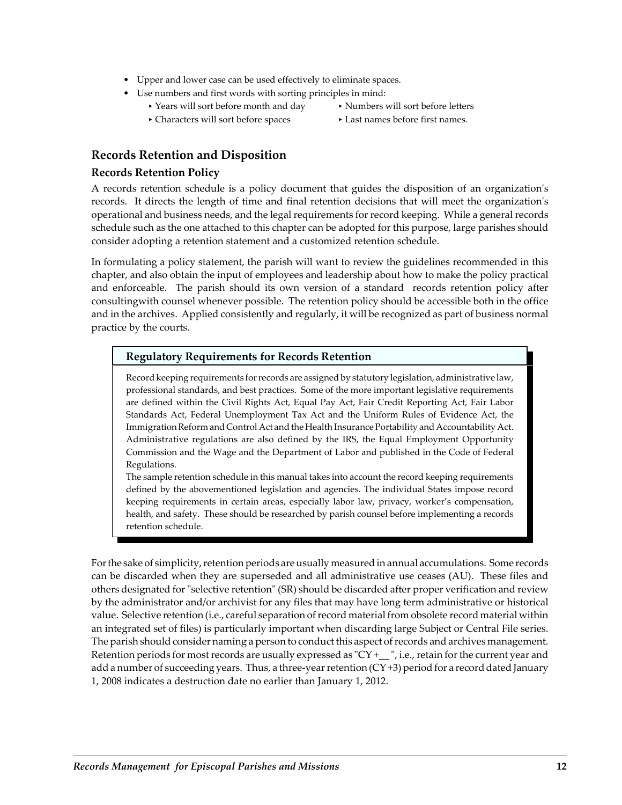- Upper and lower case can be used effectively to eliminate spaces.
- Use numbers and first words with sorting principles in mind:
	- ▶ Years will sort before month and day Numbers will sort before letters
	- Characters will sort before spaces Last names before first names.
- -

### **Records Retention and Disposition**

#### **Records Retention Policy**

A records retention schedule is a policy document that guides the disposition of an organizationʹs records. It directs the length of time and final retention decisions that will meet the organizationʹs operational and business needs, and the legal requirements for record keeping. While a general records schedule such as the one attached to this chapter can be adopted for this purpose, large parishes should consider adopting a retention statement and a customized retention schedule.

In formulating a policy statement, the parish will want to review the guidelines recommended in this chapter, and also obtain the input of employees and leadership about how to make the policy practical and enforceable. The parish should its own version of a standard records retention policy after consultingwith counsel whenever possible. The retention policy should be accessible both in the office and in the archives. Applied consistently and regularly, it will be recognized as part of business normal practice by the courts.

#### **Regulatory Requirements for Records Retention**

Record keeping requirements forrecords are assigned by statutory legislation, administrative law, professional standards, and best practices. Some of the more important legislative requirements are defined within the Civil Rights Act, Equal Pay Act, Fair Credit Reporting Act, Fair Labor Standards Act, Federal Unemployment Tax Act and the Uniform Rules of Evidence Act, the Immigration Reform and Control Act and the Health Insurance Portability and Accountability Act. Administrative regulations are also defined by the IRS, the Equal Employment Opportunity Commission and the Wage and the Department of Labor and published in the Code of Federal Regulations.

The sample retention schedule in this manual takes into account the record keeping requirements defined by the abovementioned legislation and agencies. The individual States impose record keeping requirements in certain areas, especially labor law, privacy, worker's compensation, health, and safety. These should be researched by parish counsel before implementing a records retention schedule.

For the sake of simplicity, retention periods are usually measured in annual accumulations. Some records can be discarded when they are superseded and all administrative use ceases (AU). These files and others designated for "selective retention" (SR) should be discarded after proper verification and review by the administrator and/or archivist for any files that may have long term administrative or historical value. Selective retention (i.e., careful separation ofrecord material from obsolete record material within an integrated set of files) is particularly important when discarding large Subject or Central File series. The parish should consider naming a person to conduct this aspect of records and archives management. Retention periods for most records are usually expressed as " $CY +$ <sub>\_</sub>", i.e., retain for the current year and add a number of succeeding years. Thus, a three-year retention (CY+3) period for a record dated January 1, 2008 indicates a destruction date no earlier than January 1, 2012.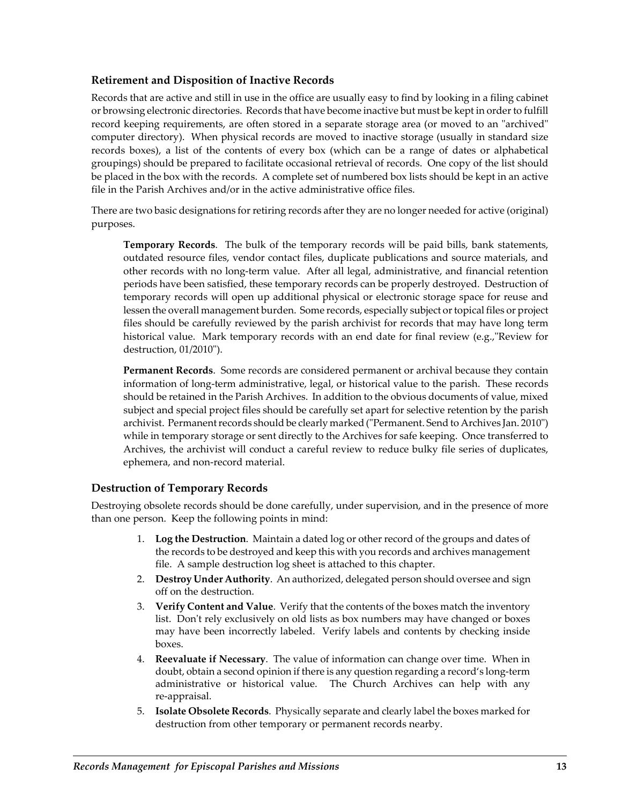#### **Retirement and Disposition of Inactive Records**

Records that are active and still in use in the office are usually easy to find by looking in a filing cabinet or browsing electronic directories. Records that have become inactive but must be kept in order to fulfill record keeping requirements, are often stored in a separate storage area (or moved to an "archived" computer directory). When physical records are moved to inactive storage (usually in standard size records boxes), a list of the contents of every box (which can be a range of dates or alphabetical groupings) should be prepared to facilitate occasional retrieval of records. One copy of the list should be placed in the box with the records. A complete set of numbered box lists should be kept in an active file in the Parish Archives and/or in the active administrative office files.

There are two basic designations for retiring records after they are no longer needed for active (original) purposes.

**Temporary Records**. The bulk of the temporary records will be paid bills, bank statements, outdated resource files, vendor contact files, duplicate publications and source materials, and other records with no long‐term value. After all legal, administrative, and financial retention periods have been satisfied, these temporary records can be properly destroyed. Destruction of temporary records will open up additional physical or electronic storage space for reuse and lessen the overall management burden. Some records, especially subject ortopical files or project files should be carefully reviewed by the parish archivist for records that may have long term historical value. Mark temporary records with an end date for final review (e.g., Review for destruction, 01/2010").

**Permanent Records**. Some records are considered permanent or archival because they contain information of long‐term administrative, legal, or historical value to the parish. These records should be retained in the Parish Archives. In addition to the obvious documents of value, mixed subject and special project files should be carefully set apart for selective retention by the parish archivist. Permanent records should be clearly marked ("Permanent. Send to Archives Jan. 2010") while in temporary storage or sent directly to the Archives for safe keeping. Once transferred to Archives, the archivist will conduct a careful review to reduce bulky file series of duplicates, ephemera, and non‐record material.

### **Destruction of Temporary Records**

Destroying obsolete records should be done carefully, under supervision, and in the presence of more than one person. Keep the following points in mind:

- 1. **Log the Destruction**. Maintain a dated log or other record of the groups and dates of the records to be destroyed and keep this with you records and archives management file. A sample destruction log sheet is attached to this chapter.
- 2. **Destroy Under Authority**. An authorized, delegated person should oversee and sign off on the destruction.
- 3. **Verify Content and Value**. Verify that the contents of the boxes match the inventory list. Don't rely exclusively on old lists as box numbers may have changed or boxes may have been incorrectly labeled. Verify labels and contents by checking inside boxes.
- 4. **Reevaluate if Necessary**. The value of information can change over time. When in doubt, obtain a second opinion if there is any question regarding a record's long‐term administrative or historical value. The Church Archives can help with any re‐appraisal.
- 5. **Isolate Obsolete Records**. Physically separate and clearly label the boxes marked for destruction from other temporary or permanent records nearby.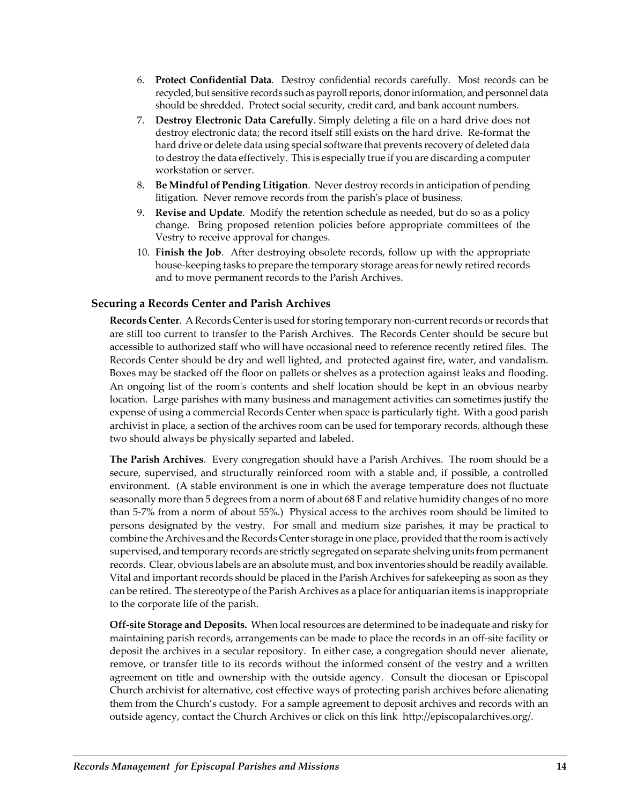- 6. **Protect Confidential Data**. Destroy confidential records carefully. Most records can be recycled, but sensitive records such as payroll reports, donor information, and personnel data should be shredded. Protect social security, credit card, and bank account numbers.
- 7. **Destroy Electronic Data Carefully**. Simply deleting a file on a hard drive does not destroy electronic data; the record itself still exists on the hard drive. Re‐format the hard drive or delete data using special software that prevents recovery of deleted data to destroy the data effectively. This is especially true if you are discarding a computer workstation or server.
- 8. **Be Mindful of Pending Litigation**. Never destroy records in anticipation of pending litigation. Never remove records from the parish's place of business.
- 9. **Revise and Update**. Modify the retention schedule as needed, but do so as a policy change. Bring proposed retention policies before appropriate committees of the Vestry to receive approval for changes.
- 10. **Finish the Job**. After destroying obsolete records, follow up with the appropriate house‐keeping tasks to prepare the temporary storage areas for newly retired records and to move permanent records to the Parish Archives.

#### **Securing a Records Center and Parish Archives**

Records Center. A Records Center is used for storing temporary non-current records or records that are still too current to transfer to the Parish Archives. The Records Center should be secure but accessible to authorized staff who will have occasional need to reference recently retired files. The Records Center should be dry and well lighted, and protected against fire, water, and vandalism. Boxes may be stacked off the floor on pallets or shelves as a protection against leaks and flooding. An ongoing list of the room's contents and shelf location should be kept in an obvious nearby location. Large parishes with many business and management activities can sometimes justify the expense of using a commercial Records Center when space is particularly tight. With a good parish archivist in place, a section of the archives room can be used for temporary records, although these two should always be physically separted and labeled.

**The Parish Archives**. Every congregation should have a Parish Archives. The room should be a secure, supervised, and structurally reinforced room with a stable and, if possible, a controlled environment. (A stable environment is one in which the average temperature does not fluctuate seasonally more than 5 degrees from a norm of about 68 F and relative humidity changes of no more than 5‐7% from a norm of about 55%.) Physical access to the archives room should be limited to persons designated by the vestry. For small and medium size parishes, it may be practical to combine the Archives and the Records Center storage in one place, provided that the room is actively supervised, and temporary records are strictly segregated on separate shelving units from permanent records. Clear, obvious labels are an absolute must, and box inventories should be readily available. Vital and important records should be placed in the Parish Archives for safekeeping as soon as they can be retired. The stereotype of the Parish Archives as a place for antiquarian items is inappropriate to the corporate life of the parish.

**Off‐site Storage and Deposits.** When localresources are determined to be inadequate and risky for maintaining parish records, arrangements can be made to place the records in an off‐site facility or deposit the archives in a secular repository. In either case, a congregation should never alienate, remove, or transfer title to its records without the informed consent of the vestry and a written agreement on title and ownership with the outside agency. Consult the diocesan or Episcopal Church archivist for alternative, cost effective ways of protecting parish archives before alienating them from the Church's custody. For a sample agreement to deposit archives and records with an outside agency, contact the Church Archives or click on this link http://episcopalarchives.org/.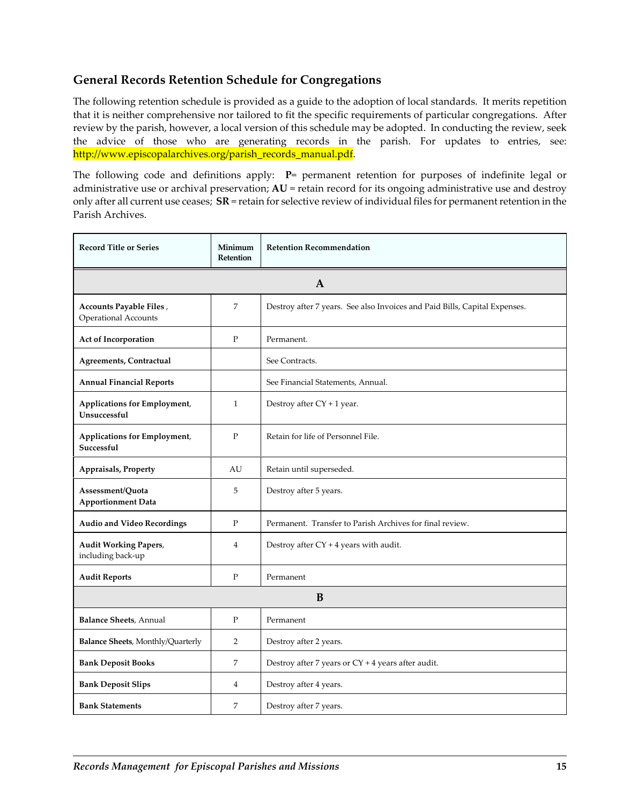## **General Records Retention Schedule for Congregations**

The following retention schedule is provided as a guide to the adoption of local standards. It merits repetition that it is neither comprehensive nor tailored to fit the specific requirements of particular congregations. After review by the parish, however, a local version of this schedule may be adopted. In conducting the review, seek the advice of those who are generating records in the parish. For updates to entries, see: http://www.episcopalarchives.org/parish\_records\_manual.pdf.

The following code and definitions apply: **P**= permanent retention for purposes of indefinite legal or administrative use or archival preservation; **AU** = retain record for its ongoing administrative use and destroy only after all current use ceases; **SR** = retain for selective review of individual files for permanent retention in the Parish Archives.

| <b>Record Title or Series</b>                       | Minimum<br>Retention | <b>Retention Recommendation</b>                                            |
|-----------------------------------------------------|----------------------|----------------------------------------------------------------------------|
|                                                     |                      | A                                                                          |
| Accounts Payable Files,<br>Operational Accounts     | 7                    | Destroy after 7 years. See also Invoices and Paid Bills, Capital Expenses. |
| Act of Incorporation                                | P                    | Permanent.                                                                 |
| Agreements, Contractual                             |                      | See Contracts.                                                             |
| <b>Annual Financial Reports</b>                     |                      | See Financial Statements, Annual.                                          |
| <b>Applications for Employment,</b><br>Unsuccessful | $\mathbf{1}$         | Destroy after CY + 1 year.                                                 |
| Applications for Employment,<br>Successful          | $\mathbf{P}$         | Retain for life of Personnel File.                                         |
| Appraisals, Property                                | AU                   | Retain until superseded.                                                   |
| Assessment/Quota<br><b>Apportionment Data</b>       | 5                    | Destroy after 5 years.                                                     |
| <b>Audio and Video Recordings</b>                   | P                    | Permanent. Transfer to Parish Archives for final review.                   |
| <b>Audit Working Papers,</b><br>including back-up   | $\overline{4}$       | Destroy after $CY + 4$ years with audit.                                   |
| <b>Audit Reports</b>                                | $\mathbf{P}$         | Permanent                                                                  |
| B                                                   |                      |                                                                            |
| <b>Balance Sheets</b> , Annual                      | P                    | Permanent                                                                  |
| Balance Sheets, Monthly/Quarterly                   | $\overline{2}$       | Destroy after 2 years.                                                     |
| <b>Bank Deposit Books</b>                           | 7                    | Destroy after 7 years or CY + 4 years after audit.                         |
| <b>Bank Deposit Slips</b>                           | 4                    | Destroy after 4 years.                                                     |
| <b>Bank Statements</b>                              | 7                    | Destroy after 7 years.                                                     |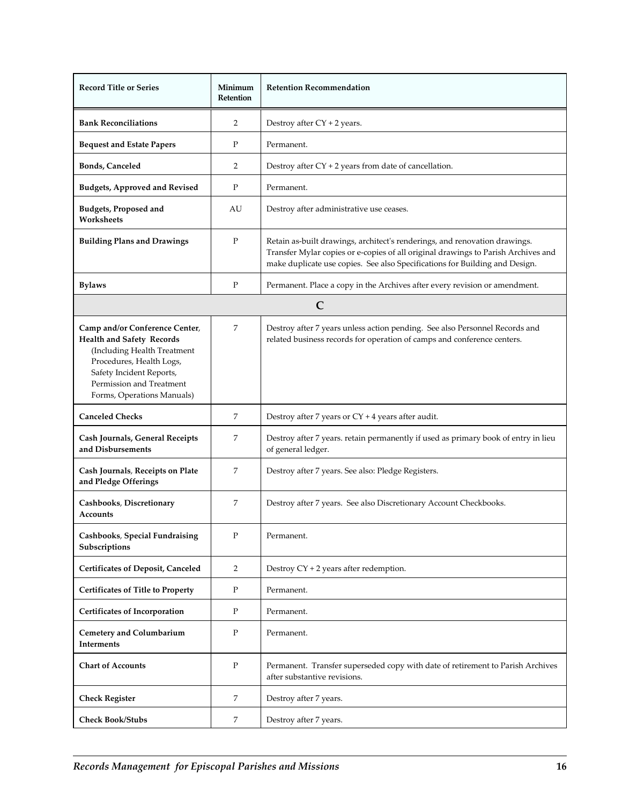| <b>Record Title or Series</b>                                                                                                                                                                                       | Minimum<br><b>Retention</b> | <b>Retention Recommendation</b>                                                                                                                                                                                                                |
|---------------------------------------------------------------------------------------------------------------------------------------------------------------------------------------------------------------------|-----------------------------|------------------------------------------------------------------------------------------------------------------------------------------------------------------------------------------------------------------------------------------------|
| <b>Bank Reconciliations</b>                                                                                                                                                                                         | 2                           | Destroy after $CY + 2$ years.                                                                                                                                                                                                                  |
| <b>Bequest and Estate Papers</b>                                                                                                                                                                                    | P                           | Permanent.                                                                                                                                                                                                                                     |
| <b>Bonds, Canceled</b>                                                                                                                                                                                              | 2                           | Destroy after $CY + 2$ years from date of cancellation.                                                                                                                                                                                        |
| <b>Budgets, Approved and Revised</b>                                                                                                                                                                                | P                           | Permanent.                                                                                                                                                                                                                                     |
| <b>Budgets, Proposed and</b><br>Worksheets                                                                                                                                                                          | AU                          | Destroy after administrative use ceases.                                                                                                                                                                                                       |
| <b>Building Plans and Drawings</b>                                                                                                                                                                                  | P                           | Retain as-built drawings, architect's renderings, and renovation drawings.<br>Transfer Mylar copies or e-copies of all original drawings to Parish Archives and<br>make duplicate use copies. See also Specifications for Building and Design. |
| <b>Bylaws</b>                                                                                                                                                                                                       | $\mathbf{P}$                | Permanent. Place a copy in the Archives after every revision or amendment.                                                                                                                                                                     |
|                                                                                                                                                                                                                     |                             | $\mathbf C$                                                                                                                                                                                                                                    |
| Camp and/or Conference Center,<br><b>Health and Safety Records</b><br>(Including Health Treatment<br>Procedures, Health Logs,<br>Safety Incident Reports,<br>Permission and Treatment<br>Forms, Operations Manuals) | 7                           | Destroy after 7 years unless action pending. See also Personnel Records and<br>related business records for operation of camps and conference centers.                                                                                         |
| <b>Canceled Checks</b>                                                                                                                                                                                              | 7                           | Destroy after 7 years or CY + 4 years after audit.                                                                                                                                                                                             |
| Cash Journals, General Receipts<br>and Disbursements                                                                                                                                                                | 7                           | Destroy after 7 years. retain permanently if used as primary book of entry in lieu<br>of general ledger.                                                                                                                                       |
| Cash Journals, Receipts on Plate<br>and Pledge Offerings                                                                                                                                                            | 7                           | Destroy after 7 years. See also: Pledge Registers.                                                                                                                                                                                             |
| Cashbooks, Discretionary<br><b>Accounts</b>                                                                                                                                                                         | 7                           | Destroy after 7 years. See also Discretionary Account Checkbooks.                                                                                                                                                                              |
| <b>Cashbooks, Special Fundraising</b><br>Subscriptions                                                                                                                                                              | $\mathbf{P}$                | Permanent.                                                                                                                                                                                                                                     |
| <b>Certificates of Deposit, Canceled</b>                                                                                                                                                                            | 2                           | Destroy $CY + 2$ years after redemption.                                                                                                                                                                                                       |
| <b>Certificates of Title to Property</b>                                                                                                                                                                            | P                           | Permanent.                                                                                                                                                                                                                                     |
| <b>Certificates of Incorporation</b>                                                                                                                                                                                | P                           | Permanent.                                                                                                                                                                                                                                     |
| <b>Cemetery and Columbarium</b><br><b>Interments</b>                                                                                                                                                                | P                           | Permanent.                                                                                                                                                                                                                                     |
| <b>Chart of Accounts</b>                                                                                                                                                                                            | $\mathbf{P}$                | Permanent. Transfer superseded copy with date of retirement to Parish Archives<br>after substantive revisions.                                                                                                                                 |
| <b>Check Register</b>                                                                                                                                                                                               | 7                           | Destroy after 7 years.                                                                                                                                                                                                                         |
| <b>Check Book/Stubs</b>                                                                                                                                                                                             | 7                           | Destroy after 7 years.                                                                                                                                                                                                                         |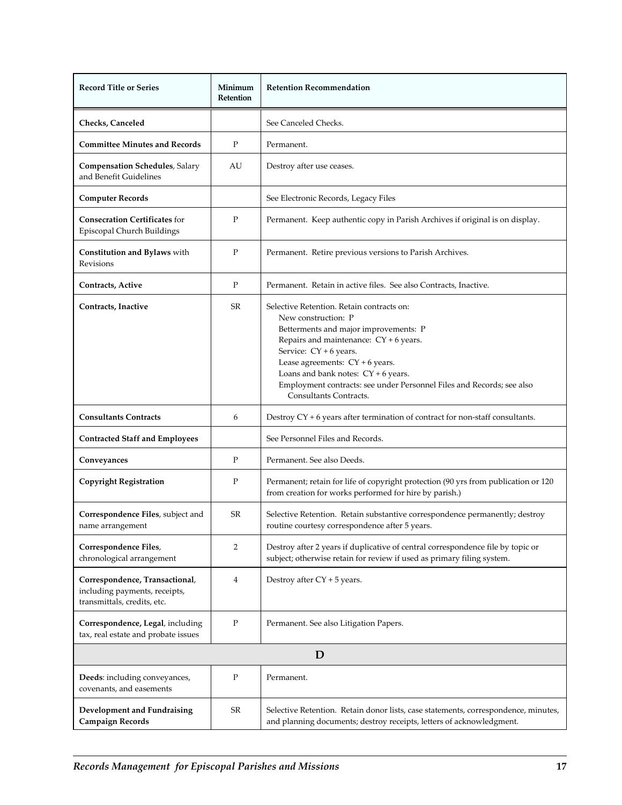| <b>Record Title or Series</b>                                                                  | Minimum<br>Retention | <b>Retention Recommendation</b>                                                                                                                                                                                                                                                                                                                                  |  |  |
|------------------------------------------------------------------------------------------------|----------------------|------------------------------------------------------------------------------------------------------------------------------------------------------------------------------------------------------------------------------------------------------------------------------------------------------------------------------------------------------------------|--|--|
| Checks, Canceled                                                                               |                      | See Canceled Checks.                                                                                                                                                                                                                                                                                                                                             |  |  |
| <b>Committee Minutes and Records</b>                                                           | $\mathbf{P}$         | Permanent.                                                                                                                                                                                                                                                                                                                                                       |  |  |
| <b>Compensation Schedules</b> , Salary<br>and Benefit Guidelines                               | AU                   | Destroy after use ceases.                                                                                                                                                                                                                                                                                                                                        |  |  |
| <b>Computer Records</b>                                                                        |                      | See Electronic Records, Legacy Files                                                                                                                                                                                                                                                                                                                             |  |  |
| <b>Consecration Certificates for</b><br>Episcopal Church Buildings                             | P                    | Permanent. Keep authentic copy in Parish Archives if original is on display.                                                                                                                                                                                                                                                                                     |  |  |
| Constitution and Bylaws with<br>Revisions                                                      | P                    | Permanent. Retire previous versions to Parish Archives.                                                                                                                                                                                                                                                                                                          |  |  |
| Contracts, Active                                                                              | ${\bf P}$            | Permanent. Retain in active files. See also Contracts, Inactive.                                                                                                                                                                                                                                                                                                 |  |  |
| Contracts, Inactive                                                                            | SR                   | Selective Retention. Retain contracts on:<br>New construction: P<br>Betterments and major improvements: P<br>Repairs and maintenance: $CY + 6$ years.<br>Service: CY + 6 years.<br>Lease agreements: $CY + 6$ years.<br>Loans and bank notes: $CY + 6$ years.<br>Employment contracts: see under Personnel Files and Records; see also<br>Consultants Contracts. |  |  |
| <b>Consultants Contracts</b>                                                                   | 6                    | Destroy $CY + 6$ years after termination of contract for non-staff consultants.                                                                                                                                                                                                                                                                                  |  |  |
| <b>Contracted Staff and Employees</b>                                                          |                      | See Personnel Files and Records.                                                                                                                                                                                                                                                                                                                                 |  |  |
| Conveyances                                                                                    | P                    | Permanent. See also Deeds.                                                                                                                                                                                                                                                                                                                                       |  |  |
| <b>Copyright Registration</b>                                                                  | P                    | Permanent; retain for life of copyright protection (90 yrs from publication or 120<br>from creation for works performed for hire by parish.)                                                                                                                                                                                                                     |  |  |
| Correspondence Files, subject and<br>name arrangement                                          | SR                   | Selective Retention. Retain substantive correspondence permanently; destroy<br>routine courtesy correspondence after 5 years.                                                                                                                                                                                                                                    |  |  |
| Correspondence Files,<br>chronological arrangement                                             | $\overline{2}$       | Destroy after 2 years if duplicative of central correspondence file by topic or<br>subject; otherwise retain for review if used as primary filing system.                                                                                                                                                                                                        |  |  |
| Correspondence, Transactional,<br>including payments, receipts,<br>transmittals, credits, etc. | $\overline{4}$       | Destroy after $CY + 5$ years.                                                                                                                                                                                                                                                                                                                                    |  |  |
| Correspondence, Legal, including<br>tax, real estate and probate issues                        | P                    | Permanent. See also Litigation Papers.                                                                                                                                                                                                                                                                                                                           |  |  |
|                                                                                                | D                    |                                                                                                                                                                                                                                                                                                                                                                  |  |  |
| Deeds: including conveyances,<br>covenants, and easements                                      | P                    | Permanent.                                                                                                                                                                                                                                                                                                                                                       |  |  |
| Development and Fundraising<br><b>Campaign Records</b>                                         | SR                   | Selective Retention. Retain donor lists, case statements, correspondence, minutes,<br>and planning documents; destroy receipts, letters of acknowledgment.                                                                                                                                                                                                       |  |  |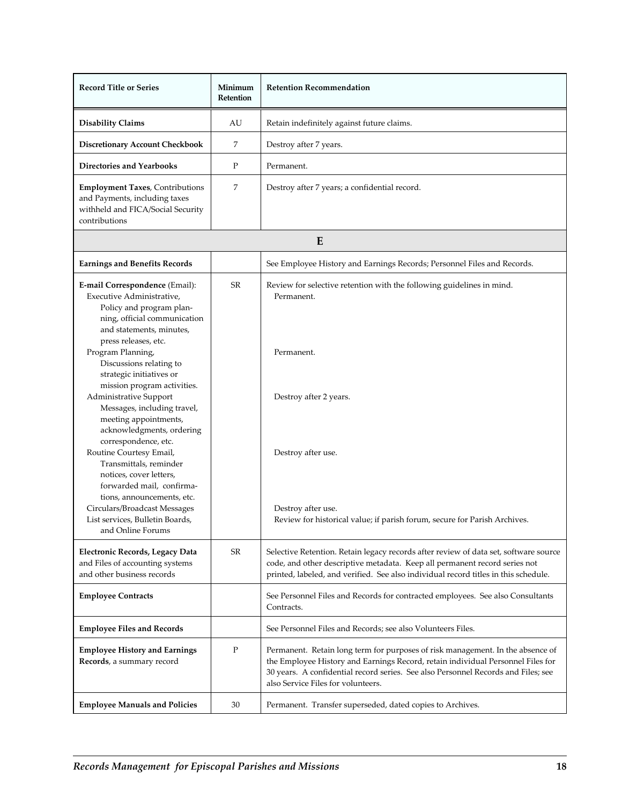| <b>Record Title or Series</b>                                                                                                                                                                                                                    | Minimum<br>Retention | <b>Retention Recommendation</b>                                                                                                                                                                                                                                                              |
|--------------------------------------------------------------------------------------------------------------------------------------------------------------------------------------------------------------------------------------------------|----------------------|----------------------------------------------------------------------------------------------------------------------------------------------------------------------------------------------------------------------------------------------------------------------------------------------|
| <b>Disability Claims</b>                                                                                                                                                                                                                         | AU                   | Retain indefinitely against future claims.                                                                                                                                                                                                                                                   |
| <b>Discretionary Account Checkbook</b>                                                                                                                                                                                                           | 7                    | Destroy after 7 years.                                                                                                                                                                                                                                                                       |
| <b>Directories and Yearbooks</b>                                                                                                                                                                                                                 | P                    | Permanent.                                                                                                                                                                                                                                                                                   |
| <b>Employment Taxes</b> , Contributions<br>and Payments, including taxes<br>withheld and FICA/Social Security<br>contributions                                                                                                                   | 7                    | Destroy after 7 years; a confidential record.                                                                                                                                                                                                                                                |
|                                                                                                                                                                                                                                                  |                      | E                                                                                                                                                                                                                                                                                            |
| <b>Earnings and Benefits Records</b>                                                                                                                                                                                                             |                      | See Employee History and Earnings Records; Personnel Files and Records.                                                                                                                                                                                                                      |
| E-mail Correspondence (Email):<br>Executive Administrative,<br>Policy and program plan-<br>ning, official communication<br>and statements, minutes,                                                                                              | <b>SR</b>            | Review for selective retention with the following guidelines in mind.<br>Permanent.                                                                                                                                                                                                          |
| press releases, etc.<br>Program Planning,<br>Discussions relating to<br>strategic initiatives or<br>mission program activities.                                                                                                                  |                      | Permanent.                                                                                                                                                                                                                                                                                   |
| Administrative Support<br>Messages, including travel,<br>meeting appointments,<br>acknowledgments, ordering<br>correspondence, etc.<br>Routine Courtesy Email,<br>Transmittals, reminder<br>notices, cover letters,<br>forwarded mail, confirma- |                      | Destroy after 2 years.<br>Destroy after use.                                                                                                                                                                                                                                                 |
| tions, announcements, etc.<br>Circulars/Broadcast Messages<br>List services, Bulletin Boards,<br>and Online Forums                                                                                                                               |                      | Destroy after use.<br>Review for historical value; if parish forum, secure for Parish Archives.                                                                                                                                                                                              |
| Electronic Records, Legacy Data<br>and Files of accounting systems<br>and other business records                                                                                                                                                 | SR                   | Selective Retention. Retain legacy records after review of data set, software source<br>code, and other descriptive metadata. Keep all permanent record series not<br>printed, labeled, and verified. See also individual record titles in this schedule.                                    |
| <b>Employee Contracts</b>                                                                                                                                                                                                                        |                      | See Personnel Files and Records for contracted employees. See also Consultants<br>Contracts.                                                                                                                                                                                                 |
| <b>Employee Files and Records</b>                                                                                                                                                                                                                |                      | See Personnel Files and Records; see also Volunteers Files.                                                                                                                                                                                                                                  |
| <b>Employee History and Earnings</b><br>Records, a summary record                                                                                                                                                                                | ${\bf P}$            | Permanent. Retain long term for purposes of risk management. In the absence of<br>the Employee History and Earnings Record, retain individual Personnel Files for<br>30 years. A confidential record series. See also Personnel Records and Files; see<br>also Service Files for volunteers. |
| <b>Employee Manuals and Policies</b>                                                                                                                                                                                                             | 30                   | Permanent. Transfer superseded, dated copies to Archives.                                                                                                                                                                                                                                    |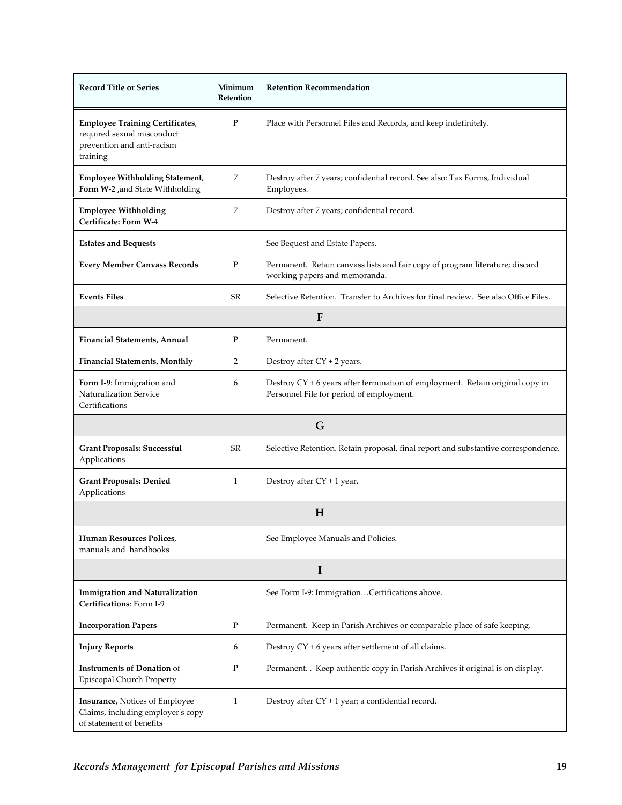| <b>Record Title or Series</b>                                                                                  | Minimum<br>Retention | <b>Retention Recommendation</b>                                                                                           |  |
|----------------------------------------------------------------------------------------------------------------|----------------------|---------------------------------------------------------------------------------------------------------------------------|--|
| <b>Employee Training Certificates,</b><br>required sexual misconduct<br>prevention and anti-racism<br>training | $\mathbf{P}$         | Place with Personnel Files and Records, and keep indefinitely.                                                            |  |
| <b>Employee Withholding Statement,</b><br>Form W-2, and State Withholding                                      | 7                    | Destroy after 7 years; confidential record. See also: Tax Forms, Individual<br>Employees.                                 |  |
| <b>Employee Withholding</b><br>Certificate: Form W-4                                                           | 7                    | Destroy after 7 years; confidential record.                                                                               |  |
| <b>Estates and Bequests</b>                                                                                    |                      | See Bequest and Estate Papers.                                                                                            |  |
| <b>Every Member Canvass Records</b>                                                                            | $\mathbf{P}$         | Permanent. Retain canvass lists and fair copy of program literature; discard<br>working papers and memoranda.             |  |
| <b>Events Files</b>                                                                                            | <b>SR</b>            | Selective Retention. Transfer to Archives for final review. See also Office Files.                                        |  |
|                                                                                                                |                      | F                                                                                                                         |  |
| <b>Financial Statements, Annual</b>                                                                            | $\mathbf{P}$         | Permanent.                                                                                                                |  |
| <b>Financial Statements, Monthly</b>                                                                           | 2                    | Destroy after $CY + 2$ years.                                                                                             |  |
| Form I-9: Immigration and<br>Naturalization Service<br>Certifications                                          | 6                    | Destroy CY + 6 years after termination of employment. Retain original copy in<br>Personnel File for period of employment. |  |
| G                                                                                                              |                      |                                                                                                                           |  |
| <b>Grant Proposals: Successful</b><br>Applications                                                             | SR                   | Selective Retention. Retain proposal, final report and substantive correspondence.                                        |  |
| <b>Grant Proposals: Denied</b><br>Applications                                                                 | 1                    | Destroy after $CY + 1$ year.                                                                                              |  |
| H                                                                                                              |                      |                                                                                                                           |  |
| Human Resources Polices,<br>manuals and handbooks                                                              |                      | See Employee Manuals and Policies.                                                                                        |  |
| I                                                                                                              |                      |                                                                                                                           |  |
| <b>Immigration and Naturalization</b><br>Certifications: Form I-9                                              |                      | See Form I-9: ImmigrationCertifications above.                                                                            |  |
| <b>Incorporation Papers</b>                                                                                    | P                    | Permanent. Keep in Parish Archives or comparable place of safe keeping.                                                   |  |
| <b>Injury Reports</b>                                                                                          | 6                    | Destroy CY + 6 years after settlement of all claims.                                                                      |  |
| <b>Instruments of Donation of</b><br>Episcopal Church Property                                                 | Ρ                    | Permanent. . Keep authentic copy in Parish Archives if original is on display.                                            |  |
| <b>Insurance, Notices of Employee</b><br>Claims, including employer's copy<br>of statement of benefits         | 1                    | Destroy after $CY + 1$ year; a confidential record.                                                                       |  |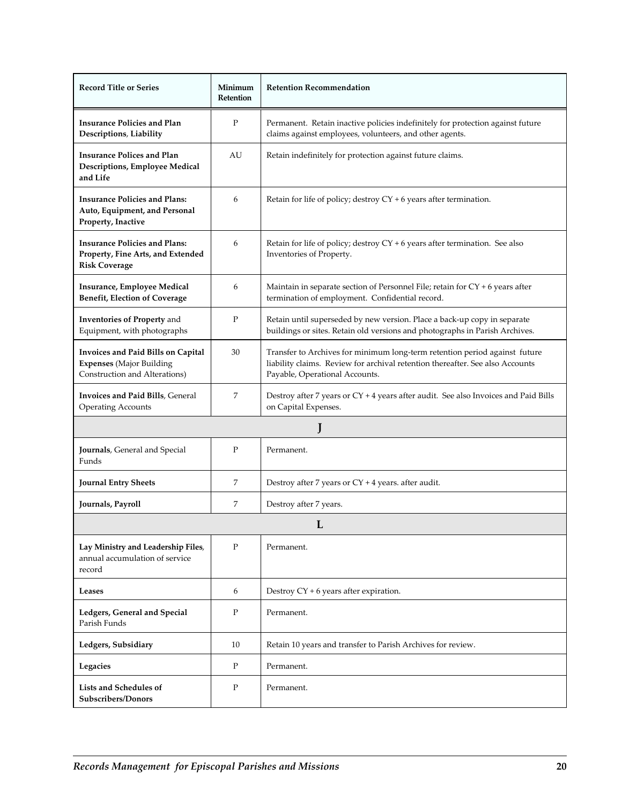| <b>Record Title or Series</b>                                                                          | Minimum<br>Retention | <b>Retention Recommendation</b>                                                                                                                                                               |  |
|--------------------------------------------------------------------------------------------------------|----------------------|-----------------------------------------------------------------------------------------------------------------------------------------------------------------------------------------------|--|
| <b>Insurance Policies and Plan</b><br>Descriptions, Liability                                          | $\mathbf{P}$         | Permanent. Retain inactive policies indefinitely for protection against future<br>claims against employees, volunteers, and other agents.                                                     |  |
| <b>Insurance Polices and Plan</b><br>Descriptions, Employee Medical<br>and Life                        | AU                   | Retain indefinitely for protection against future claims.                                                                                                                                     |  |
| <b>Insurance Policies and Plans:</b><br>Auto, Equipment, and Personal<br>Property, Inactive            | 6                    | Retain for life of policy; destroy CY + 6 years after termination.                                                                                                                            |  |
| <b>Insurance Policies and Plans:</b><br>Property, Fine Arts, and Extended<br><b>Risk Coverage</b>      | 6                    | Retain for life of policy; destroy $CY + 6$ years after termination. See also<br>Inventories of Property.                                                                                     |  |
| Insurance, Employee Medical<br><b>Benefit, Election of Coverage</b>                                    | 6                    | Maintain in separate section of Personnel File; retain for CY + 6 years after<br>termination of employment. Confidential record.                                                              |  |
| <b>Inventories of Property and</b><br>Equipment, with photographs                                      | P                    | Retain until superseded by new version. Place a back-up copy in separate<br>buildings or sites. Retain old versions and photographs in Parish Archives.                                       |  |
| Invoices and Paid Bills on Capital<br><b>Expenses</b> (Major Building<br>Construction and Alterations) | 30                   | Transfer to Archives for minimum long-term retention period against future<br>liability claims. Review for archival retention thereafter. See also Accounts<br>Payable, Operational Accounts. |  |
| Invoices and Paid Bills, General<br><b>Operating Accounts</b>                                          | 7                    | Destroy after 7 years or CY + 4 years after audit. See also Invoices and Paid Bills<br>on Capital Expenses.                                                                                   |  |
|                                                                                                        |                      |                                                                                                                                                                                               |  |
| Journals, General and Special<br>Funds                                                                 | P                    | Permanent.                                                                                                                                                                                    |  |
| <b>Journal Entry Sheets</b>                                                                            | 7                    | Destroy after 7 years or $CY + 4$ years. after audit.                                                                                                                                         |  |
| Journals, Payroll                                                                                      | 7                    | Destroy after 7 years.                                                                                                                                                                        |  |
| L                                                                                                      |                      |                                                                                                                                                                                               |  |
| Lay Ministry and Leadership Files,<br>annual accumulation of service<br>record                         | $\mathbf{P}$         | Permanent.                                                                                                                                                                                    |  |
| Leases                                                                                                 | 6                    | Destroy CY + 6 years after expiration.                                                                                                                                                        |  |
| Ledgers, General and Special<br>Parish Funds                                                           | P                    | Permanent.                                                                                                                                                                                    |  |
| Ledgers, Subsidiary                                                                                    | 10                   | Retain 10 years and transfer to Parish Archives for review.                                                                                                                                   |  |
| Legacies                                                                                               | P                    | Permanent.                                                                                                                                                                                    |  |
| Lists and Schedules of<br>Subscribers/Donors                                                           | ${\bf P}$            | Permanent.                                                                                                                                                                                    |  |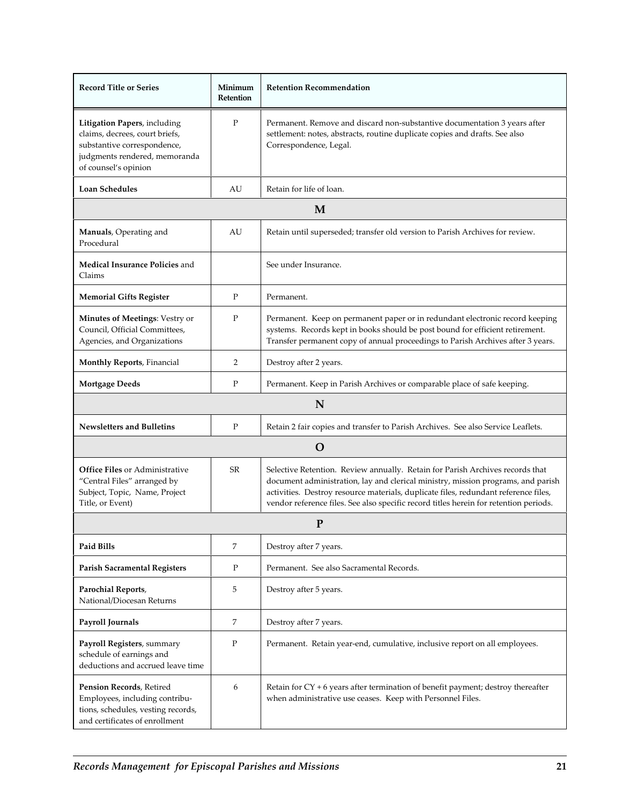| <b>Record Title or Series</b>                                                                                                                          | Minimum<br>Retention | <b>Retention Recommendation</b>                                                                                                                                                                                                                                                                                                                   |
|--------------------------------------------------------------------------------------------------------------------------------------------------------|----------------------|---------------------------------------------------------------------------------------------------------------------------------------------------------------------------------------------------------------------------------------------------------------------------------------------------------------------------------------------------|
| Litigation Papers, including<br>claims, decrees, court briefs,<br>substantive correspondence,<br>judgments rendered, memoranda<br>of counsel's opinion | P                    | Permanent. Remove and discard non-substantive documentation 3 years after<br>settlement: notes, abstracts, routine duplicate copies and drafts. See also<br>Correspondence, Legal.                                                                                                                                                                |
| <b>Loan Schedules</b>                                                                                                                                  | AU                   | Retain for life of loan.                                                                                                                                                                                                                                                                                                                          |
|                                                                                                                                                        |                      | M                                                                                                                                                                                                                                                                                                                                                 |
| Manuals, Operating and<br>Procedural                                                                                                                   | AU                   | Retain until superseded; transfer old version to Parish Archives for review.                                                                                                                                                                                                                                                                      |
| Medical Insurance Policies and<br>Claims                                                                                                               |                      | See under Insurance.                                                                                                                                                                                                                                                                                                                              |
| <b>Memorial Gifts Register</b>                                                                                                                         | $\mathbf{P}$         | Permanent.                                                                                                                                                                                                                                                                                                                                        |
| Minutes of Meetings: Vestry or<br>Council, Official Committees,<br>Agencies, and Organizations                                                         | P                    | Permanent. Keep on permanent paper or in redundant electronic record keeping<br>systems. Records kept in books should be post bound for efficient retirement.<br>Transfer permanent copy of annual proceedings to Parish Archives after 3 years.                                                                                                  |
| <b>Monthly Reports, Financial</b>                                                                                                                      | $\overline{2}$       | Destroy after 2 years.                                                                                                                                                                                                                                                                                                                            |
| <b>Mortgage Deeds</b>                                                                                                                                  | P                    | Permanent. Keep in Parish Archives or comparable place of safe keeping.                                                                                                                                                                                                                                                                           |
|                                                                                                                                                        |                      | N                                                                                                                                                                                                                                                                                                                                                 |
| <b>Newsletters and Bulletins</b>                                                                                                                       | $\mathbf{P}$         | Retain 2 fair copies and transfer to Parish Archives. See also Service Leaflets.                                                                                                                                                                                                                                                                  |
|                                                                                                                                                        |                      | O                                                                                                                                                                                                                                                                                                                                                 |
| <b>Office Files or Administrative</b><br>"Central Files" arranged by<br>Subject, Topic, Name, Project<br>Title, or Event)                              | <b>SR</b>            | Selective Retention. Review annually. Retain for Parish Archives records that<br>document administration, lay and clerical ministry, mission programs, and parish<br>activities. Destroy resource materials, duplicate files, redundant reference files,<br>vendor reference files. See also specific record titles herein for retention periods. |
|                                                                                                                                                        |                      | ${\bf P}$                                                                                                                                                                                                                                                                                                                                         |
| Paid Bills                                                                                                                                             | 7                    | Destroy after 7 years.                                                                                                                                                                                                                                                                                                                            |
| <b>Parish Sacramental Registers</b>                                                                                                                    | P                    | Permanent. See also Sacramental Records.                                                                                                                                                                                                                                                                                                          |
| Parochial Reports,<br>National/Diocesan Returns                                                                                                        | 5                    | Destroy after 5 years.                                                                                                                                                                                                                                                                                                                            |
| Payroll Journals                                                                                                                                       | 7                    | Destroy after 7 years.                                                                                                                                                                                                                                                                                                                            |
| Payroll Registers, summary<br>schedule of earnings and<br>deductions and accrued leave time                                                            | P                    | Permanent. Retain year-end, cumulative, inclusive report on all employees.                                                                                                                                                                                                                                                                        |
| Pension Records, Retired<br>Employees, including contribu-<br>tions, schedules, vesting records,<br>and certificates of enrollment                     | 6                    | Retain for $CY + 6$ years after termination of benefit payment; destroy thereafter<br>when administrative use ceases. Keep with Personnel Files.                                                                                                                                                                                                  |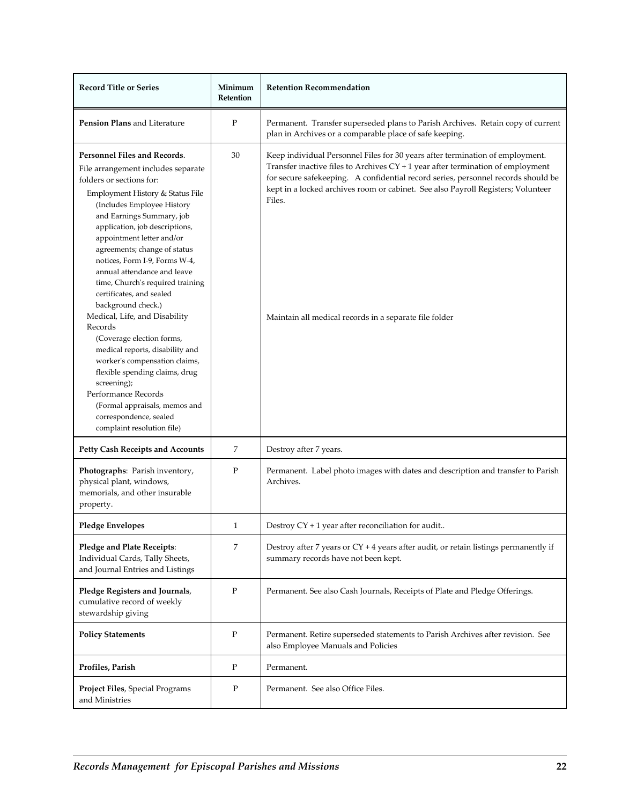| <b>Record Title or Series</b>                                                                                                                                                                                                                                                                                                                                                                                                                                                                                                                                                                                                                                                                                                                                    | Minimum<br>Retention | <b>Retention Recommendation</b>                                                                                                                                                                                                                                                                                                                                                                                 |
|------------------------------------------------------------------------------------------------------------------------------------------------------------------------------------------------------------------------------------------------------------------------------------------------------------------------------------------------------------------------------------------------------------------------------------------------------------------------------------------------------------------------------------------------------------------------------------------------------------------------------------------------------------------------------------------------------------------------------------------------------------------|----------------------|-----------------------------------------------------------------------------------------------------------------------------------------------------------------------------------------------------------------------------------------------------------------------------------------------------------------------------------------------------------------------------------------------------------------|
| Pension Plans and Literature                                                                                                                                                                                                                                                                                                                                                                                                                                                                                                                                                                                                                                                                                                                                     | $\mathbf P$          | Permanent. Transfer superseded plans to Parish Archives. Retain copy of current<br>plan in Archives or a comparable place of safe keeping.                                                                                                                                                                                                                                                                      |
| Personnel Files and Records.<br>File arrangement includes separate<br>folders or sections for:<br>Employment History & Status File<br>(Includes Employee History<br>and Earnings Summary, job<br>application, job descriptions,<br>appointment letter and/or<br>agreements; change of status<br>notices, Form I-9, Forms W-4,<br>annual attendance and leave<br>time, Church's required training<br>certificates, and sealed<br>background check.)<br>Medical, Life, and Disability<br>Records<br>(Coverage election forms,<br>medical reports, disability and<br>worker's compensation claims,<br>flexible spending claims, drug<br>screening);<br>Performance Records<br>(Formal appraisals, memos and<br>correspondence, sealed<br>complaint resolution file) | 30                   | Keep individual Personnel Files for 30 years after termination of employment.<br>Transfer inactive files to Archives $CY + 1$ year after termination of employment<br>for secure safekeeping. A confidential record series, personnel records should be<br>kept in a locked archives room or cabinet. See also Payroll Registers; Volunteer<br>Files.<br>Maintain all medical records in a separate file folder |
| <b>Petty Cash Receipts and Accounts</b>                                                                                                                                                                                                                                                                                                                                                                                                                                                                                                                                                                                                                                                                                                                          | 7                    | Destroy after 7 years.                                                                                                                                                                                                                                                                                                                                                                                          |
| Photographs: Parish inventory,<br>physical plant, windows,<br>memorials, and other insurable<br>property.                                                                                                                                                                                                                                                                                                                                                                                                                                                                                                                                                                                                                                                        | Ρ                    | Permanent. Label photo images with dates and description and transfer to Parish<br>Archives.                                                                                                                                                                                                                                                                                                                    |
| <b>Pledge Envelopes</b>                                                                                                                                                                                                                                                                                                                                                                                                                                                                                                                                                                                                                                                                                                                                          | 1                    | Destroy $CY + 1$ year after reconciliation for audit                                                                                                                                                                                                                                                                                                                                                            |
| Pledge and Plate Receipts:<br>Individual Cards, Tally Sheets,<br>and Journal Entries and Listings                                                                                                                                                                                                                                                                                                                                                                                                                                                                                                                                                                                                                                                                | 7                    | Destroy after 7 years or CY + 4 years after audit, or retain listings permanently if<br>summary records have not been kept.                                                                                                                                                                                                                                                                                     |
| Pledge Registers and Journals,<br>cumulative record of weekly<br>stewardship giving                                                                                                                                                                                                                                                                                                                                                                                                                                                                                                                                                                                                                                                                              | ${\bf P}$            | Permanent. See also Cash Journals, Receipts of Plate and Pledge Offerings.                                                                                                                                                                                                                                                                                                                                      |
| <b>Policy Statements</b>                                                                                                                                                                                                                                                                                                                                                                                                                                                                                                                                                                                                                                                                                                                                         | $\mathbf P$          | Permanent. Retire superseded statements to Parish Archives after revision. See<br>also Employee Manuals and Policies                                                                                                                                                                                                                                                                                            |
| Profiles, Parish                                                                                                                                                                                                                                                                                                                                                                                                                                                                                                                                                                                                                                                                                                                                                 | P                    | Permanent.                                                                                                                                                                                                                                                                                                                                                                                                      |
| Project Files, Special Programs<br>and Ministries                                                                                                                                                                                                                                                                                                                                                                                                                                                                                                                                                                                                                                                                                                                | P                    | Permanent. See also Office Files.                                                                                                                                                                                                                                                                                                                                                                               |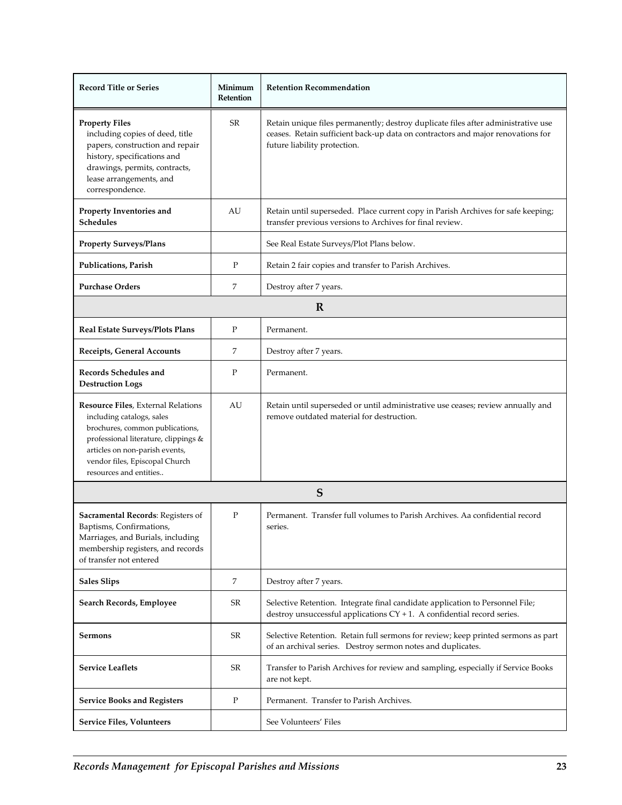| <b>Record Title or Series</b>                                                                                                                                                                                                            | Minimum<br>Retention | <b>Retention Recommendation</b>                                                                                                                                                                      |  |
|------------------------------------------------------------------------------------------------------------------------------------------------------------------------------------------------------------------------------------------|----------------------|------------------------------------------------------------------------------------------------------------------------------------------------------------------------------------------------------|--|
| <b>Property Files</b><br>including copies of deed, title<br>papers, construction and repair<br>history, specifications and<br>drawings, permits, contracts,<br>lease arrangements, and<br>correspondence.                                | SR                   | Retain unique files permanently; destroy duplicate files after administrative use<br>ceases. Retain sufficient back-up data on contractors and major renovations for<br>future liability protection. |  |
| Property Inventories and<br><b>Schedules</b>                                                                                                                                                                                             | AU                   | Retain until superseded. Place current copy in Parish Archives for safe keeping;<br>transfer previous versions to Archives for final review.                                                         |  |
| <b>Property Surveys/Plans</b>                                                                                                                                                                                                            |                      | See Real Estate Surveys/Plot Plans below.                                                                                                                                                            |  |
| Publications, Parish                                                                                                                                                                                                                     | P                    | Retain 2 fair copies and transfer to Parish Archives.                                                                                                                                                |  |
| <b>Purchase Orders</b>                                                                                                                                                                                                                   | 7                    | Destroy after 7 years.                                                                                                                                                                               |  |
|                                                                                                                                                                                                                                          |                      | $\mathbf R$                                                                                                                                                                                          |  |
| Real Estate Surveys/Plots Plans                                                                                                                                                                                                          | P                    | Permanent.                                                                                                                                                                                           |  |
| Receipts, General Accounts                                                                                                                                                                                                               | 7                    | Destroy after 7 years.                                                                                                                                                                               |  |
| Records Schedules and<br><b>Destruction Logs</b>                                                                                                                                                                                         | P                    | Permanent.                                                                                                                                                                                           |  |
| Resource Files, External Relations<br>including catalogs, sales<br>brochures, common publications,<br>professional literature, clippings &<br>articles on non-parish events,<br>vendor files, Episcopal Church<br>resources and entities | AU                   | Retain until superseded or until administrative use ceases; review annually and<br>remove outdated material for destruction.                                                                         |  |
| S                                                                                                                                                                                                                                        |                      |                                                                                                                                                                                                      |  |
| Sacramental Records: Registers of<br>Baptisms, Confirmations,<br>Marriages, and Burials, including<br>membership registers, and records<br>of transfer not entered                                                                       | P                    | Permanent. Transfer full volumes to Parish Archives. Aa confidential record<br>series.                                                                                                               |  |
| <b>Sales Slips</b>                                                                                                                                                                                                                       | 7                    | Destroy after 7 years.                                                                                                                                                                               |  |
| Search Records, Employee                                                                                                                                                                                                                 | SR                   | Selective Retention. Integrate final candidate application to Personnel File;<br>destroy unsuccessful applications $CY + 1$ . A confidential record series.                                          |  |
| <b>Sermons</b>                                                                                                                                                                                                                           | <b>SR</b>            | Selective Retention. Retain full sermons for review; keep printed sermons as part<br>of an archival series. Destroy sermon notes and duplicates.                                                     |  |
| <b>Service Leaflets</b>                                                                                                                                                                                                                  | SR                   | Transfer to Parish Archives for review and sampling, especially if Service Books<br>are not kept.                                                                                                    |  |
| <b>Service Books and Registers</b>                                                                                                                                                                                                       | P                    | Permanent. Transfer to Parish Archives.                                                                                                                                                              |  |
| <b>Service Files, Volunteers</b>                                                                                                                                                                                                         |                      | See Volunteers' Files                                                                                                                                                                                |  |